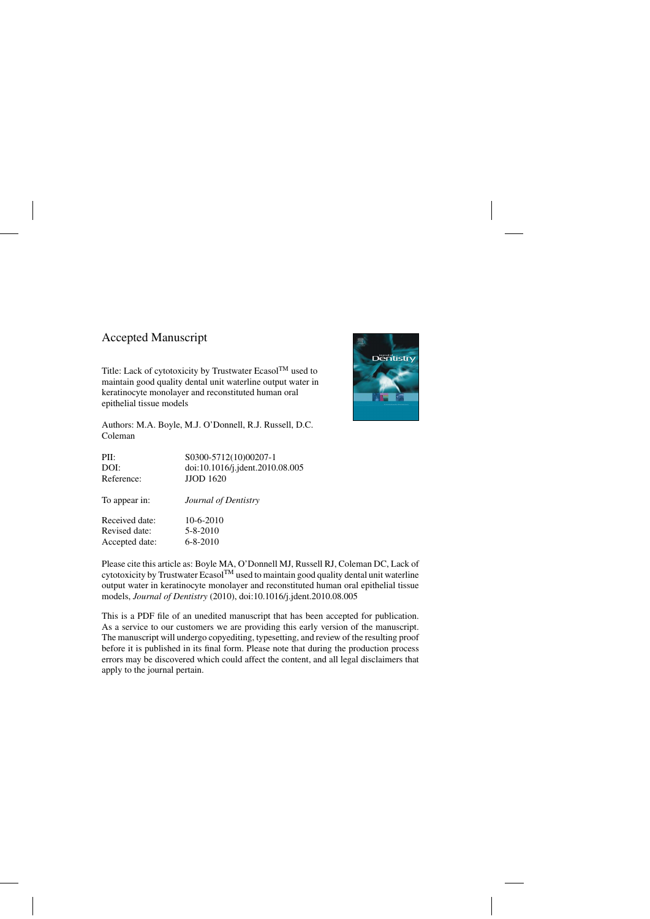### Accepted Manuscript

Title: Lack of cytotoxicity by Trustwater Ecasol<sup>TM</sup> used to maintain good quality dental unit waterline output water in keratinocyte monolayer and reconstituted human oral epithelial tissue models

Authors: M.A. Boyle, M.J. O'Donnell, R.J. Russell, D.C. Coleman

| S0300-5712(10)00207-1           |
|---------------------------------|
| doi:10.1016/j.jdent.2010.08.005 |
| <b>JJOD 1620</b>                |
| Journal of Dentistry            |
| $10-6-2010$                     |
| $5 - 8 - 2010$                  |
| $6 - 8 - 2010$                  |
|                                 |

Please cite this article as: Boyle MA, O'Donnell MJ, Russell RJ, Coleman DC, Lack of cytotoxicity by Trustwater Ecasol<sup>TM</sup> used to maintain good quality dental unit waterline output water in keratinocyte monolayer and reconstituted human oral epithelial tissue models, *Journal of Dentistry* (2010), doi:[10.1016/j.jdent.2010.08.005](dx.doi.org/10.1016/j.jdent.2010.08.005)

This is a PDF file of an unedited manuscript that has been accepted for publication. As a service to our customers we are providing this early version of the manuscript. The manuscript will undergo copyediting, typesetting, and review of the resulting proof before it is published in its final form. Please note that during the production process errors may be discovered which could affect the content, and all legal disclaimers that apply to the journal pertain.

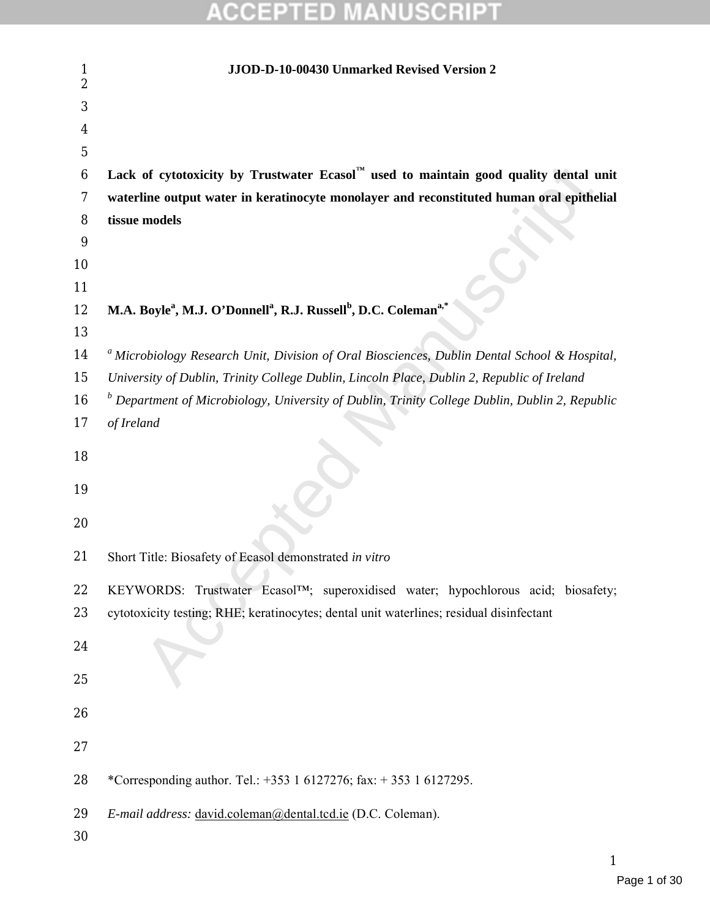| 1<br>$\overline{2}$ | JJOD-D-10-00430 Unmarked Revised Version 2                                                                      |
|---------------------|-----------------------------------------------------------------------------------------------------------------|
| 3                   |                                                                                                                 |
| 4                   |                                                                                                                 |
| $\overline{5}$      |                                                                                                                 |
| $6\phantom{1}6$     | Lack of cytotoxicity by Trustwater Ecasol <sup><math>M</math></sup> used to maintain good quality dental unit   |
| $\tau$              | waterline output water in keratinocyte monolayer and reconstituted human oral epithelial                        |
| 8                   | tissue models                                                                                                   |
| 9                   |                                                                                                                 |
| 10                  |                                                                                                                 |
| 11                  |                                                                                                                 |
| 12                  | M.A. Boyle <sup>a</sup> , M.J. O'Donnell <sup>a</sup> , R.J. Russell <sup>b</sup> , D.C. Coleman <sup>a,*</sup> |
| 13                  |                                                                                                                 |
| 14                  | <sup>a</sup> Microbiology Research Unit, Division of Oral Biosciences, Dublin Dental School & Hospital,         |
| 15                  | University of Dublin, Trinity College Dublin, Lincoln Place, Dublin 2, Republic of Ireland                      |
| 16                  | $\overline{b}$ Department of Microbiology, University of Dublin, Trinity College Dublin, Dublin 2, Republic     |
| 17                  | of Ireland                                                                                                      |
| 18                  |                                                                                                                 |
| 19                  |                                                                                                                 |
| 20                  |                                                                                                                 |
|                     |                                                                                                                 |
| 21                  | Short Title: Biosafety of Ecasol demonstrated in vitro                                                          |
| 22                  | KEYWORDS: Trustwater Ecasol <sup>TM</sup> ; superoxidised water; hypochlorous acid; biosafety;                  |
| 23                  | cytotoxicity testing; RHE; keratinocytes; dental unit waterlines; residual disinfectant                         |
| 24                  |                                                                                                                 |
| 25                  |                                                                                                                 |
| 26                  |                                                                                                                 |
|                     |                                                                                                                 |
| 27                  |                                                                                                                 |
| 28                  | *Corresponding author. Tel.: +353 1 6127276; fax: +353 1 6127295.                                               |
| 29<br>30            | E-mail address: david.coleman@dental.tcd.ie (D.C. Coleman).                                                     |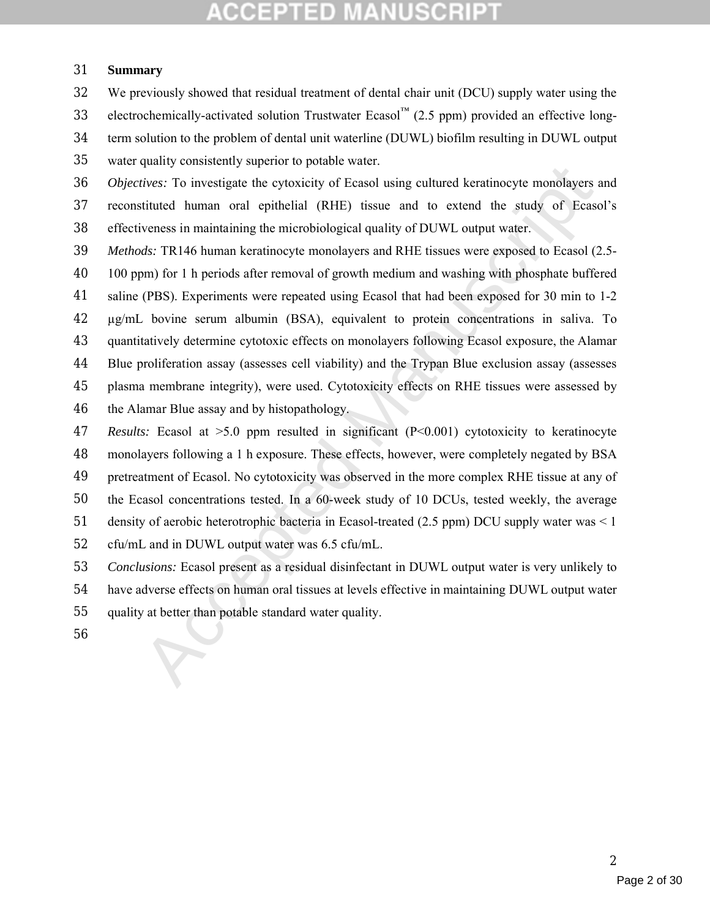#### **Summary**

 We previously showed that residual treatment of dental chair unit (DCU) supply water using the 33 electrochemically-activated solution Trustwater Ecasol™ (2.5 ppm) provided an effective long- term solution to the problem of dental unit waterline (DUWL) biofilm resulting in DUWL output water quality consistently superior to potable water.

quary constanting specter by between ward.<br>
Theorem was the eytoxicity of Feasol using cultured keratinocyte monolayers stituted human oral epithelial (RHE) issue and to extend the study of Ecase<br>
virtues: To investigate *Objectives:* To investigate the cytoxicity of Ecasol using cultured keratinocyte monolayers and reconstituted human oral epithelial (RHE) tissue and to extend the study of Ecasol's effectiveness in maintaining the microbiological quality of DUWL output water.

- *Methods:* TR146 human keratinocyte monolayers and RHE tissues were exposed to Ecasol (2.5-
- 100 ppm) for 1 h periods after removal of growth medium and washing with phosphate buffered
- saline (PBS). Experiments were repeated using Ecasol that had been exposed for 30 min to 1-2
- µg/mL bovine serum albumin (BSA), equivalent to protein concentrations in saliva. To
- quantitatively determine cytotoxic effects on monolayers following Ecasol exposure, the Alamar
- Blue proliferation assay (assesses cell viability) and the Trypan Blue exclusion assay (assesses
- plasma membrane integrity), were used. Cytotoxicity effects on RHE tissues were assessed by
- the Alamar Blue assay and by histopathology.
- *Results:* Ecasol at >5.0 ppm resulted in significant (P<0.001) cytotoxicity to keratinocyte monolayers following a 1 h exposure. These effects, however, were completely negated by BSA
- 
- pretreatment of Ecasol. No cytotoxicity was observed in the more complex RHE tissue at any of
- the Ecasol concentrations tested. In a 60-week study of 10 DCUs, tested weekly, the average
- 51 density of aerobic heterotrophic bacteria in Ecasol-treated (2.5 ppm) DCU supply water was < 1
- cfu/mL and in DUWL output water was 6.5 cfu/mL.
- *Conclusions:* Ecasol present as a residual disinfectant in DUWL output water is very unlikely to
- have adverse effects on human oral tissues at levels effective in maintaining DUWL output water
- quality at better than potable standard water quality.
-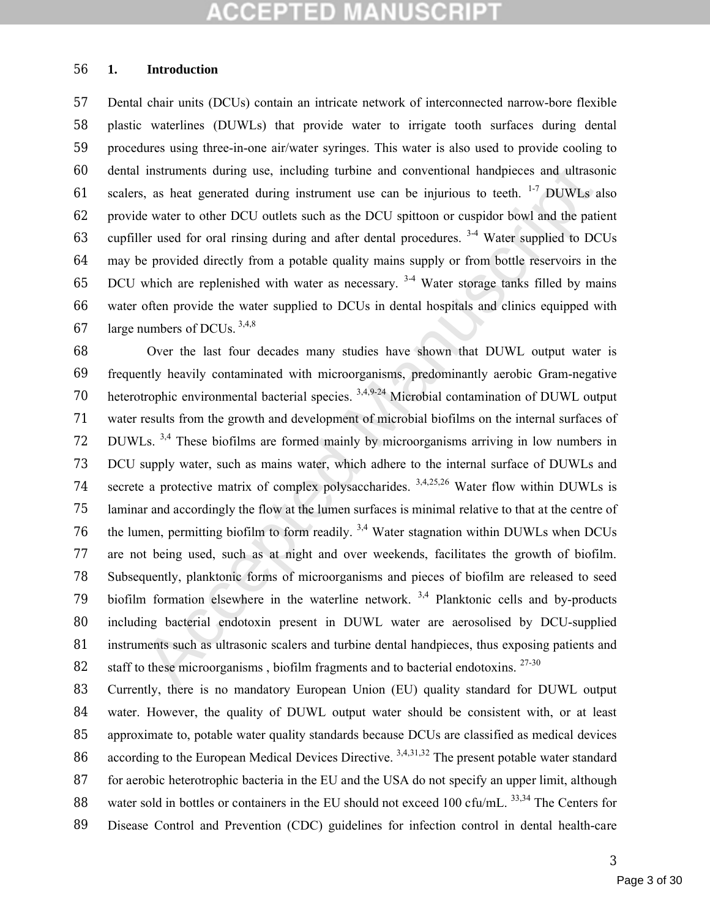#### **1. Introduction**

 Dental chair units (DCUs) contain an intricate network of interconnected narrow-bore flexible plastic waterlines (DUWLs) that provide water to irrigate tooth surfaces during dental procedures using three-in-one air/water syringes. This water is also used to provide cooling to dental instruments during use, including turbine and conventional handpieces and ultrasonic 61 scalers, as heat generated during instrument use can be injurious to teeth.  $1-7$  DUWLs also provide water to other DCU outlets such as the DCU spittoon or cuspidor bowl and the patient 63 cupfiller used for oral rinsing during and after dental procedures.  $3-4$  Water supplied to DCUs may be provided directly from a potable quality mains supply or from bottle reservoirs in the 65 DCU which are replenished with water as necessary.  $3-4$  Water storage tanks filled by mains water often provide the water supplied to DCUs in dental hospitals and clinics equipped with 67 large numbers of DCUs.  $3,4,8$ 

instruments during use, including turbine and conventional handpieces and ultraso<br>s, as heat generated during instrument use can be injurious to teeth. <sup>1,3</sup> DUWLs a<br>e water to other DCU outlets such as the DCU spittoton Over the last four decades many studies have shown that DUWL output water is frequently heavily contaminated with microorganisms, predominantly aerobic Gram-negative 70 heterotrophic environmental bacterial species. <sup>3,4,9-24</sup> Microbial contamination of DUWL output water results from the growth and development of microbial biofilms on the internal surfaces of DUWLs. 3,4 These biofilms are formed mainly by microorganisms arriving in low numbers in DCU supply water, such as mains water, which adhere to the internal surface of DUWLs and 74 secrete a protective matrix of complex polysaccharides.  $3,4,25,26$  Water flow within DUWLs is laminar and accordingly the flow at the lumen surfaces is minimal relative to that at the centre of 76 the lumen, permitting biofilm to form readily.  $3.4$  Water stagnation within DUWLs when DCUs are not being used, such as at night and over weekends, facilitates the growth of biofilm. Subsequently, planktonic forms of microorganisms and pieces of biofilm are released to seed 79 biofilm formation elsewhere in the waterline network.  $3,4$  Planktonic cells and by-products including bacterial endotoxin present in DUWL water are aerosolised by DCU-supplied instruments such as ultrasonic scalers and turbine dental handpieces, thus exposing patients and 82 staff to these microorganisms, biofilm fragments and to bacterial endotoxins.  $27-30$ 

83 Currently, there is no mandatory European Union (EU) quality standard for DUWL output water. However, the quality of DUWL output water should be consistent with, or at least approximate to, potable water quality standards because DCUs are classified as medical devices 86 according to the European Medical Devices Directive.  $3,4,31,32$  The present potable water standard for aerobic heterotrophic bacteria in the EU and the USA do not specify an upper limit, although 88 water sold in bottles or containers in the EU should not exceed 100 cfu/mL.  $^{33,34}$  The Centers for Disease Control and Prevention (CDC) guidelines for infection control in dental health-care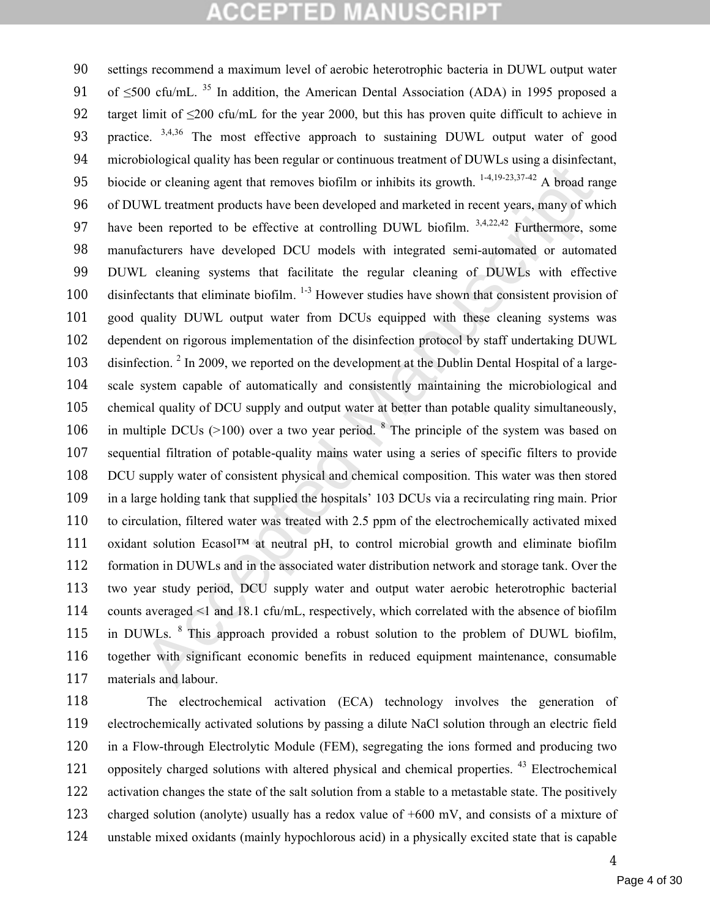solution of the metallical particular and the extended with the order of  $\sim$  to  $\sim$  and  $\sim$  and  $\sim$  and  $\sim$  and  $\sim$  and  $\sim$  and  $\sim$  and  $\sim$  and  $\sim$  and  $\sim$  and  $\sim$  and  $\sim$  and  $\sim$  and  $\sim$  and  $\sim$  and  $\sim$  settings recommend a maximum level of aerobic heterotrophic bacteria in DUWL output water 91 of  $\leq$ 500 cfu/mL. <sup>35</sup> In addition, the American Dental Association (ADA) in 1995 proposed a 92 target limit of  $\leq$ 200 cfu/mL for the year 2000, but this has proven quite difficult to achieve in 93 practice. <sup>3,4,36</sup> The most effective approach to sustaining DUWL output water of good microbiological quality has been regular or continuous treatment of DUWLs using a disinfectant, 95 biocide or cleaning agent that removes biofilm or inhibits its growth.  $1-4,19-23,37-42$  A broad range of DUWL treatment products have been developed and marketed in recent years, many of which 97 have been reported to be effective at controlling DUWL biofilm.  $3,4,22,42$  Furthermore, some manufacturers have developed DCU models with integrated semi-automated or automated DUWL cleaning systems that facilitate the regular cleaning of DUWLs with effective 100 disinfectants that eliminate biofilm.  $1-3$  However studies have shown that consistent provision of good quality DUWL output water from DCUs equipped with these cleaning systems was dependent on rigorous implementation of the disinfection protocol by staff undertaking DUWL 103 disinfection. <sup>2</sup> In 2009, we reported on the development at the Dublin Dental Hospital of a large- scale system capable of automatically and consistently maintaining the microbiological and chemical quality of DCU supply and output water at better than potable quality simultaneously, 106 in multiple DCUs ( $>100$ ) over a two year period. <sup>8</sup> The principle of the system was based on sequential filtration of potable-quality mains water using a series of specific filters to provide DCU supply water of consistent physical and chemical composition. This water was then stored in a large holding tank that supplied the hospitals' 103 DCUs via a recirculating ring main. Prior to circulation, filtered water was treated with 2.5 ppm of the electrochemically activated mixed 111 oxidant solution Ecasol<sup>TM</sup> at neutral pH, to control microbial growth and eliminate biofilm formation in DUWLs and in the associated water distribution network and storage tank. Over the two year study period, DCU supply water and output water aerobic heterotrophic bacterial counts averaged <1 and 18.1 cfu/mL, respectively, which correlated with the absence of biofilm 115 in DUWLs,  $\frac{8}{3}$  This approach provided a robust solution to the problem of DUWL biofilm, together with significant economic benefits in reduced equipment maintenance, consumable materials and labour.

 The electrochemical activation (ECA) technology involves the generation of electrochemically activated solutions by passing a dilute NaCl solution through an electric field in a Flow-through Electrolytic Module (FEM), segregating the ions formed and producing two 121 oppositely charged solutions with altered physical and chemical properties. <sup>43</sup> Electrochemical activation changes the state of the salt solution from a stable to a metastable state. The positively charged solution (anolyte) usually has a redox value of +600 mV, and consists of a mixture of unstable mixed oxidants (mainly hypochlorous acid) in a physically excited state that is capable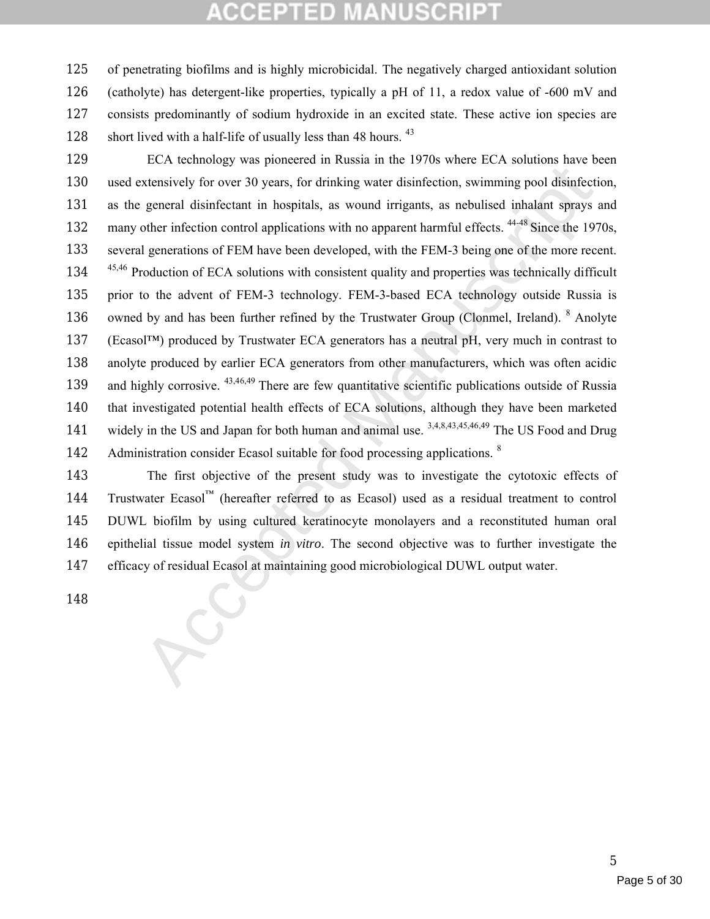of penetrating biofilms and is highly microbicidal. The negatively charged antioxidant solution (catholyte) has detergent-like properties, typically a pH of 11, a redox value of -600 mV and consists predominantly of sodium hydroxide in an excited state. These active ion species are 128 short lived with a half-life of usually less than 48 hours. <sup>43</sup>

Extensively for over 30 years, for drinking water disinfection, swimming pool disinfections<br>vertexisy of over 30 years, for drinking water disinfection, swimming pool disinfection<br>eneral disinfectant in hospitals, as woun ECA technology was pioneered in Russia in the 1970s where ECA solutions have been used extensively for over 30 years, for drinking water disinfection, swimming pool disinfection, as the general disinfectant in hospitals, as wound irrigants, as nebulised inhalant sprays and 132 many other infection control applications with no apparent harmful effects. <sup>44-48</sup> Since the 1970s, several generations of FEM have been developed, with the FEM-3 being one of the more recent. 134 <sup>45,46</sup> Production of ECA solutions with consistent quality and properties was technically difficult prior to the advent of FEM-3 technology. FEM-3-based ECA technology outside Russia is 136 owned by and has been further refined by the Trustwater Group (Clonmel, Ireland). <sup>8</sup> Anolyte (Ecasol™) produced by Trustwater ECA generators has a neutral pH, very much in contrast to anolyte produced by earlier ECA generators from other manufacturers, which was often acidic 139 and highly corrosive. <sup>43,46,49</sup> There are few quantitative scientific publications outside of Russia that investigated potential health effects of ECA solutions, although they have been marketed 141 widely in the US and Japan for both human and animal use. 3,4,8,43,45,46,49 The US Food and Drug 142 Administration consider Ecasol suitable for food processing applications. <sup>8</sup>

 The first objective of the present study was to investigate the cytotoxic effects of Trustwater Ecasol™ (hereafter referred to as Ecasol) used as a residual treatment to control DUWL biofilm by using cultured keratinocyte monolayers and a reconstituted human oral epithelial tissue model system *in vitro*. The second objective was to further investigate the efficacy of residual Ecasol at maintaining good microbiological DUWL output water.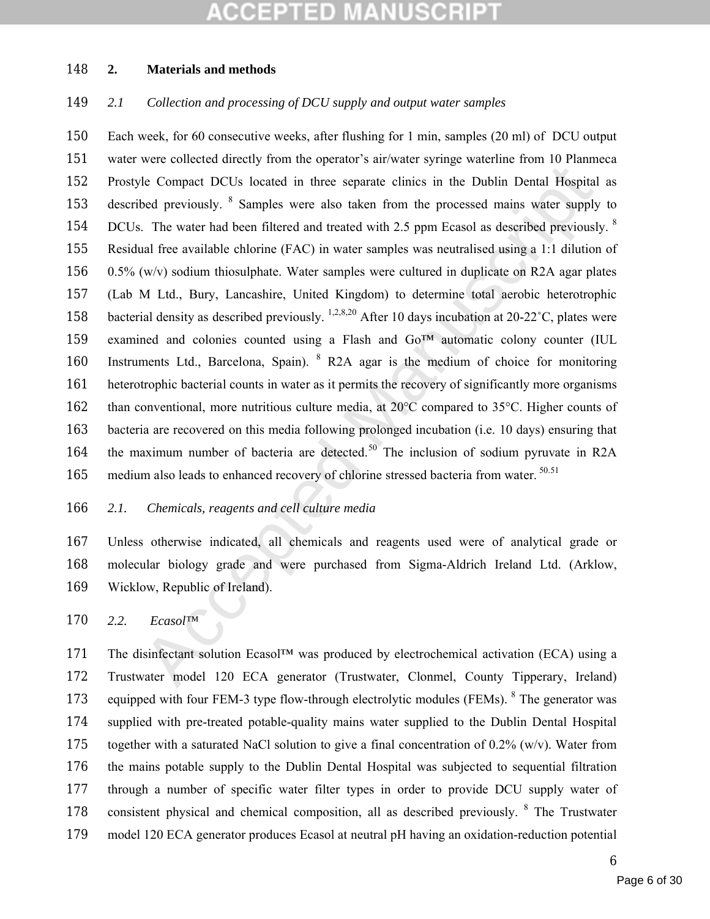#### **MANUSCRIP** COEPTED

#### **2. Materials and methods**

### *2.1 Collection and processing of DCU supply and output water samples*

ele Compact DCUs located in three separate clinics in the Dublin Dental Hospital<br>bed previously. <sup>8</sup> Samples were also taken from the processed mains water supply<br>consider the Wandel Manuscriptic and tracted with 2.5 ppm Each week, for 60 consecutive weeks, after flushing for 1 min, samples (20 ml) of DCU output water were collected directly from the operator's air/water syringe waterline from 10 Planmeca Prostyle Compact DCUs located in three separate clinics in the Dublin Dental Hospital as 153 described previously. <sup>8</sup> Samples were also taken from the processed mains water supply to 154 DCUs. The water had been filtered and treated with 2.5 ppm Ecasol as described previously. <sup>8</sup> Residual free available chlorine (FAC) in water samples was neutralised using a 1:1 dilution of 156 0.5% (w/v) sodium thiosulphate. Water samples were cultured in duplicate on R2A agar plates (Lab M Ltd., Bury, Lancashire, United Kingdom) to determine total aerobic heterotrophic 158 bacterial density as described previously. <sup>1,2,8,20</sup> After 10 days incubation at 20-22<sup>°</sup>C, plates were examined and colonies counted using a Flash and Go™ automatic colony counter (IUL 160 Instruments Ltd., Barcelona, Spain). <sup>8</sup> R2A agar is the medium of choice for monitoring heterotrophic bacterial counts in water as it permits the recovery of significantly more organisms than conventional, more nutritious culture media, at 20°C compared to 35°C. Higher counts of bacteria are recovered on this media following prolonged incubation (i.e. 10 days) ensuring that 164 the maximum number of bacteria are detected.<sup>50</sup> The inclusion of sodium pyruvate in R2A 165 medium also leads to enhanced recovery of chlorine stressed bacteria from water. <sup>50.51</sup>

#### *2.1. Chemicals, reagents and cell culture media*

 Unless otherwise indicated, all chemicals and reagents used were of analytical grade or molecular biology grade and were purchased from Sigma-Aldrich Ireland Ltd. (Arklow, Wicklow, Republic of Ireland).

*2.2. Ecasol™*

 The disinfectant solution Ecasol™ was produced by electrochemical activation (ECA) using a Trustwater model 120 ECA generator (Trustwater, Clonmel, County Tipperary, Ireland) 173 equipped with four FEM-3 type flow-through electrolytic modules (FEMs). <sup>8</sup> The generator was supplied with pre-treated potable-quality mains water supplied to the Dublin Dental Hospital 175 together with a saturated NaCl solution to give a final concentration of  $0.2\%$  (w/v). Water from the mains potable supply to the Dublin Dental Hospital was subjected to sequential filtration through a number of specific water filter types in order to provide DCU supply water of 178 consistent physical and chemical composition, all as described previously. <sup>8</sup> The Trustwater model 120 ECA generator produces Ecasol at neutral pH having an oxidation-reduction potential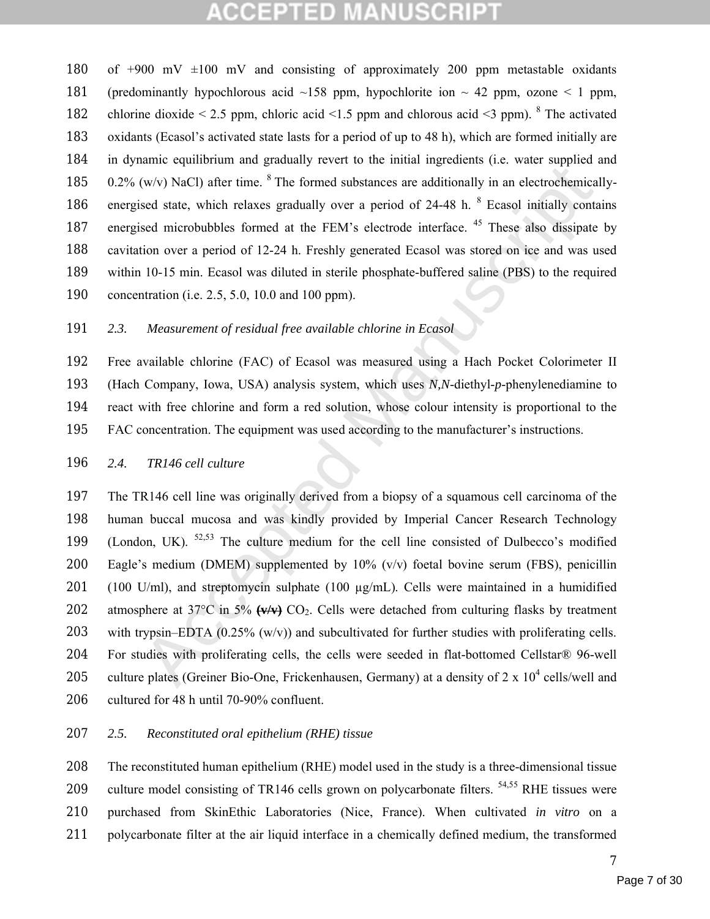of +900 mV ±100 mV and consisting of approximately 200 ppm metastable oxidants 181 (predominantly hypochlorous acid  $\sim$ 158 ppm, hypochlorite ion  $\sim$  42 ppm, ozone  $\leq$  1 ppm, 182 chlorine dioxide  $\leq 2.5$  ppm, chloric acid  $\leq 1.5$  ppm and chlorous acid  $\leq 3$  ppm). <sup>8</sup> The activated oxidants (Ecasol's activated state lasts for a period of up to 48 h), which are formed initially are in dynamic equilibrium and gradually revert to the initial ingredients (i.e. water supplied and  $0.2\%$  (w/v) NaCl) after time. <sup>8</sup> The formed substances are additionally in an electrochemically-186 energised state, which relaxes gradually over a period of 24-48 h. <sup>8</sup> Ecasol initially contains 187 energised microbubbles formed at the FEM's electrode interface. <sup>45</sup> These also dissipate by cavitation over a period of 12-24 h. Freshly generated Ecasol was stored on ice and was used within 10-15 min. Ecasol was diluted in sterile phosphate-buffered saline (PBS) to the required concentration (i.e. 2.5, 5.0, 10.0 and 100 ppm).

### 191 *2.3. Measurement of residual free available chlorine in Ecasol*

 Free available chlorine (FAC) of Ecasol was measured using a Hach Pocket Colorimeter II (Hach Company, Iowa, USA) analysis system, which uses *N,N*-diethyl-*p*-phenylenediamine to react with free chlorine and form a red solution, whose colour intensity is proportional to the FAC concentration. The equipment was used according to the manufacturer's instructions.

#### 196 *2.4. TR146 cell culture*

manne ventration and guatarity rivet to the minim implementation (wive) NaCl) after time, <sup>8</sup> The formed substances are additionally in an electrochemical<br>sed state, which relaxes gradually over a period of 24-48 h. <sup>8</sup> E 197 The TR146 cell line was originally derived from a biopsy of a squamous cell carcinoma of the 198 human buccal mucosa and was kindly provided by Imperial Cancer Research Technology 199 (London, UK).  $52,53$  The culture medium for the cell line consisted of Dulbecco's modified 200 Eagle's medium (DMEM) supplemented by  $10\%$  (v/v) foetal bovine serum (FBS), penicillin 201 (100 U/ml), and streptomycin sulphate (100 µg/mL). Cells were maintained in a humidified 202 atmosphere at  $37^{\circ}$ C in  $5\%$   $\left(\frac{w}{w}\right)$  CO<sub>2</sub>. Cells were detached from culturing flasks by treatment 203 with trypsin–EDTA  $(0.25\%$  (w/v)) and subcultivated for further studies with proliferating cells. 204 For studies with proliferating cells, the cells were seeded in flat-bottomed Cellstar® 96-well 205 culture plates (Greiner Bio-One, Frickenhausen, Germany) at a density of  $2 \times 10^4$  cells/well and 206 cultured for 48 h until 70-90% confluent.

#### 207 *2.5. Reconstituted oral epithelium (RHE) tissue*

 The reconstituted human epithelium (RHE) model used in the study is a three-dimensional tissue 209 culture model consisting of TR146 cells grown on polycarbonate filters.  $54,55$  RHE tissues were purchased from SkinEthic Laboratories (Nice, France). When cultivated *in vitro* on a polycarbonate filter at the air liquid interface in a chemically defined medium, the transformed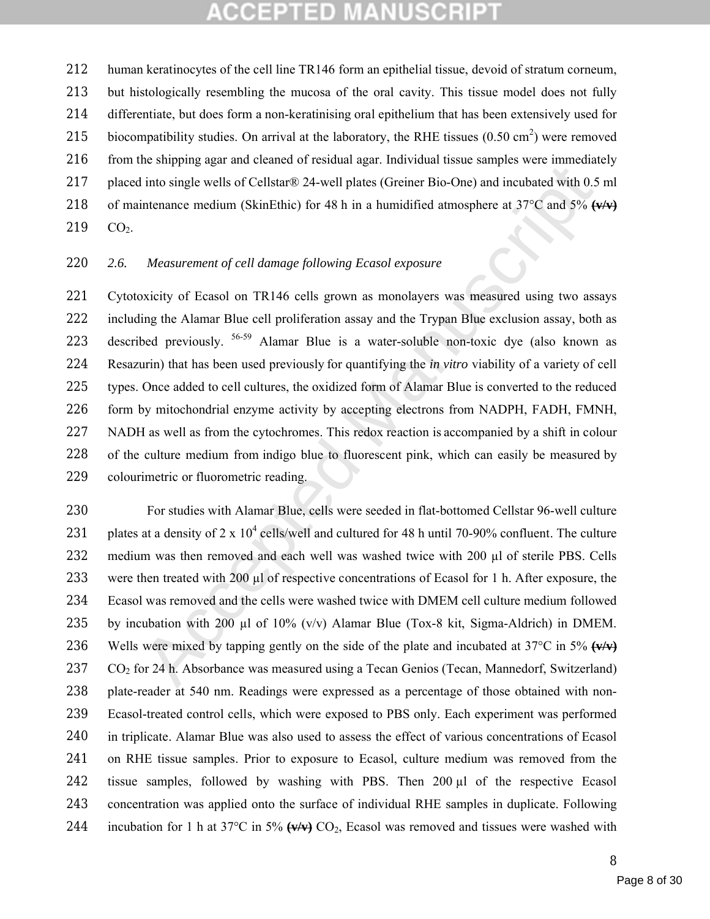human keratinocytes of the cell line TR146 form an epithelial tissue, devoid of stratum corneum, but histologically resembling the mucosa of the oral cavity. This tissue model does not fully differentiate, but does form a non-keratinising oral epithelium that has been extensively used for 215 biocompatibility studies. On arrival at the laboratory, the RHE tissues  $(0.50 \text{ cm}^2)$  were removed 216 from the shipping agar and cleaned of residual agar. Individual tissue samples were immediately placed into single wells of Cellstar® 24-well plates (Greiner Bio-One) and incubated with 0.5 ml of maintenance medium (SkinEthic) for 48 h in a humidified atmosphere at 37°C and 5% **(v/v)** 219 CO<sub>2</sub>.

#### *2.6. Measurement of cell damage following Ecasol exposure*

ne mapping and triatmost and the state of the plane. The matter in the matter in the matter in the matter of elast inference and incubated with 0.5 intenance medium (SkinEthic) for 48 h in a humidified atmosphere at 37°C Cytotoxicity of Ecasol on TR146 cells grown as monolayers was measured using two assays including the Alamar Blue cell proliferation assay and the Trypan Blue exclusion assay, both as 223 described previously. <sup>56-59</sup> Alamar Blue is a water-soluble non-toxic dye (also known as Resazurin) that has been used previously for quantifying the *in vitro* viability of a variety of cell types. Once added to cell cultures, the oxidized form of Alamar Blue is converted to the reduced form by mitochondrial enzyme activity by accepting electrons from NADPH, FADH, FMNH, NADH as well as from the cytochromes. This redox reaction is accompanied by a shift in colour of the culture medium from indigo blue to fluorescent pink, which can easily be measured by colourimetric or fluorometric reading.

 For studies with Alamar Blue, cells were seeded in flat-bottomed Cellstar 96-well culture 231 plates at a density of 2 x  $10^4$  cells/well and cultured for 48 h until 70-90% confluent. The culture 232 medium was then removed and each well was washed twice with 200 µl of sterile PBS. Cells 233 were then treated with 200 µl of respective concentrations of Ecasol for 1 h. After exposure, the Ecasol was removed and the cells were washed twice with DMEM cell culture medium followed 235 by incubation with 200 µl of  $10\%$  (v/v) Alamar Blue (Tox-8 kit, Sigma-Aldrich) in DMEM. Wells were mixed by tapping gently on the side of the plate and incubated at 37°C in 5% **(v/v)** CO2 for 24 h. Absorbance was measured using a Tecan Genios (Tecan, Mannedorf, Switzerland) plate-reader at 540 nm. Readings were expressed as a percentage of those obtained with non- Ecasol-treated control cells, which were exposed to PBS only. Each experiment was performed in triplicate. Alamar Blue was also used to assess the effect of various concentrations of Ecasol on RHE tissue samples. Prior to exposure to Ecasol, culture medium was removed from the tissue samples, followed by washing with PBS. Then 200 µl of the respective Ecasol concentration was applied onto the surface of individual RHE samples in duplicate. Following 244 incubation for 1 h at 37 $\degree$ C in 5%  $\left(\frac{1}{2}\right)$  CO<sub>2</sub>, Ecasol was removed and tissues were washed with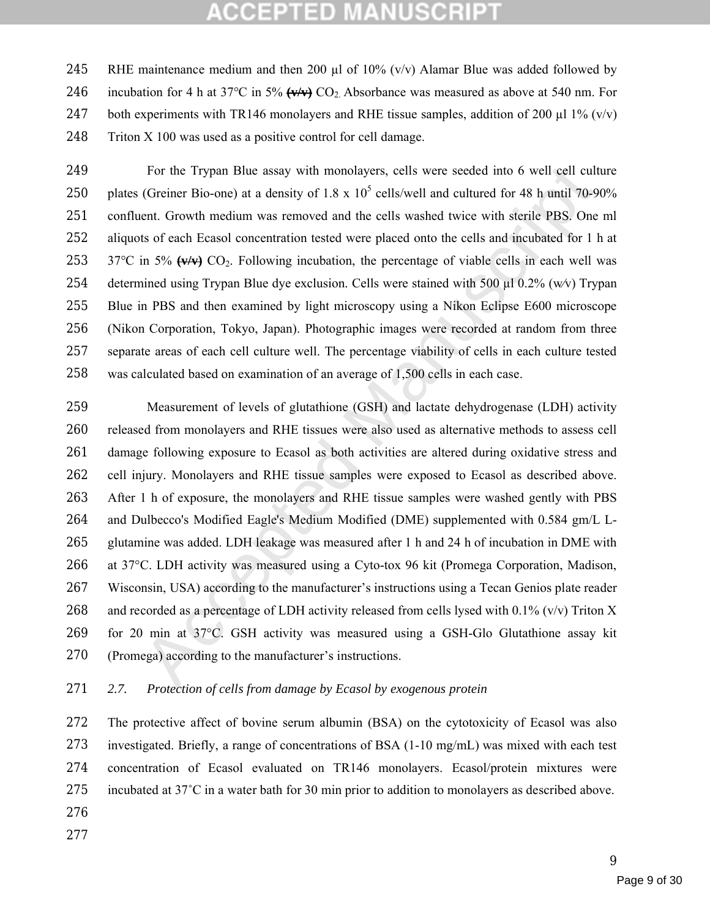245 RHE maintenance medium and then 200  $\mu$ l of 10% (v/v) Alamar Blue was added followed by 246 incubation for 4 h at 37 $\degree$ C in 5%  $(\sqrt{v/v})$  CO<sub>2</sub>. Absorbance was measured as above at 540 nm. For 247 both experiments with TR146 monolayers and RHE tissue samples, addition of 200  $\mu$ l 1% (v/v) Triton X 100 was used as a positive control for cell damage.

 For the Trypan Blue assay with monolayers, cells were seeded into 6 well cell culture 250 plates (Greiner Bio-one) at a density of  $1.8 \times 10^5$  cells/well and cultured for 48 h until 70-90% confluent. Growth medium was removed and the cells washed twice with sterile PBS. One ml aliquots of each Ecasol concentration tested were placed onto the cells and incubated for 1 h at 253 37°C in 5%  $(v/v)$  CO<sub>2</sub>. Following incubation, the percentage of viable cells in each well was determined using Trypan Blue dye exclusion. Cells were stained with 500 µl 0.2% (w⁄v) Trypan Blue in PBS and then examined by light microscopy using a Nikon Eclipse E600 microscope (Nikon Corporation, Tokyo, Japan). Photographic images were recorded at random from three separate areas of each cell culture well. The percentage viability of cells in each culture tested was calculated based on examination of an average of 1,500 cells in each case.

For the Trypan Blue assay with monolayers, cells were seeded into 6 well cell cult<br>(Greiner Bio-one) at a density of 1.8 x 10<sup>5</sup> cells/well and cultured for 48 h until 70-94<br>end. Growth medium was removed and the cells wa Measurement of levels of glutathione (GSH) and lactate dehydrogenase (LDH) activity released from monolayers and RHE tissues were also used as alternative methods to assess cell damage following exposure to Ecasol as both activities are altered during oxidative stress and cell injury. Monolayers and RHE tissue samples were exposed to Ecasol as described above. After 1 h of exposure, the monolayers and RHE tissue samples were washed gently with PBS and Dulbecco's Modified Eagle's Medium Modified (DME) supplemented with 0.584 gm/L L- glutamine was added. LDH leakage was measured after 1 h and 24 h of incubation in DME with at 37°C. LDH activity was measured using a Cyto-tox 96 kit (Promega Corporation, Madison, Wisconsin, USA) according to the manufacturer's instructions using a Tecan Genios plate reader 268 and recorded as a percentage of LDH activity released from cells lysed with 0.1% (v/v) Triton X for 20 min at 37°C. GSH activity was measured using a GSH-Glo Glutathione assay kit (Promega) according to the manufacturer's instructions.

### *2.7. Protection of cells from damage by Ecasol by exogenous protein*

 The protective affect of bovine serum albumin (BSA) on the cytotoxicity of Ecasol was also investigated. Briefly, a range of concentrations of BSA (1-10 mg/mL) was mixed with each test concentration of Ecasol evaluated on TR146 monolayers. Ecasol/protein mixtures were 275 incubated at  $37^{\circ}$ C in a water bath for 30 min prior to addition to monolayers as described above.

- 
-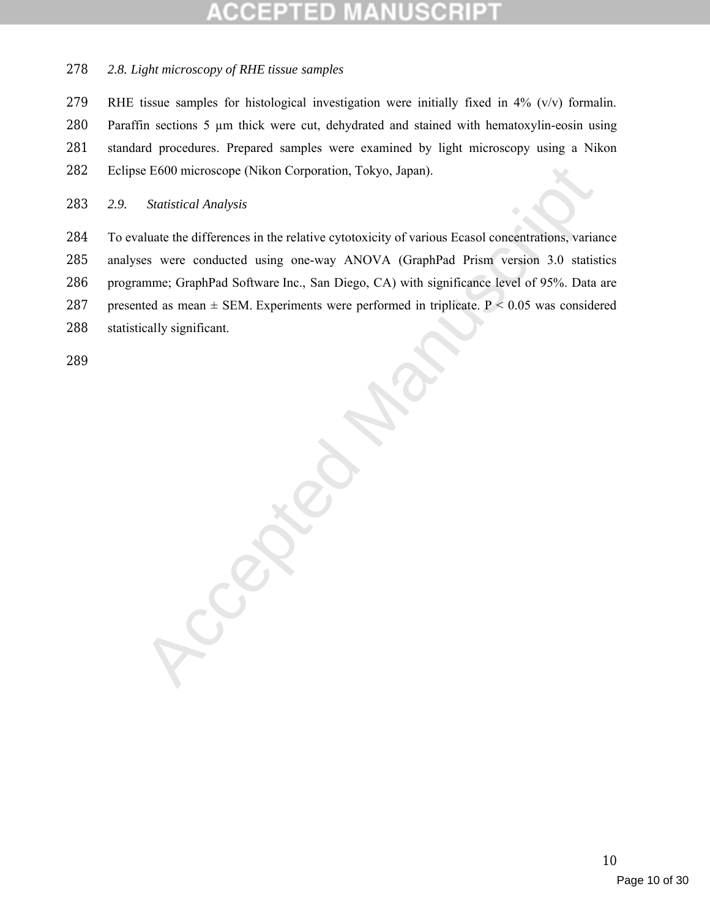#### *2.8. Light microscopy of RHE tissue samples*

 RHE tissue samples for histological investigation were initially fixed in 4% (v/v) formalin. Paraffin sections 5 µm thick were cut, dehydrated and stained with hematoxylin-eosin using standard procedures. Prepared samples were examined by light microscopy using a Nikon Eclipse E600 microscope (Nikon Corporation, Tokyo, Japan).

#### *2.9. Statistical Analysis*

 To evaluate the differences in the relative cytotoxicity of various Ecasol concentrations, variance analyses were conducted using one-way ANOVA (GraphPad Prism version 3.0 statistics programme; GraphPad Software Inc., San Diego, CA) with significance level of 95%. Data are 287 presented as mean  $\pm$  SEM. Experiments were performed in triplicate. P < 0.05 was considered statistically significant.

Accepted Manuscript

Page 10 of 30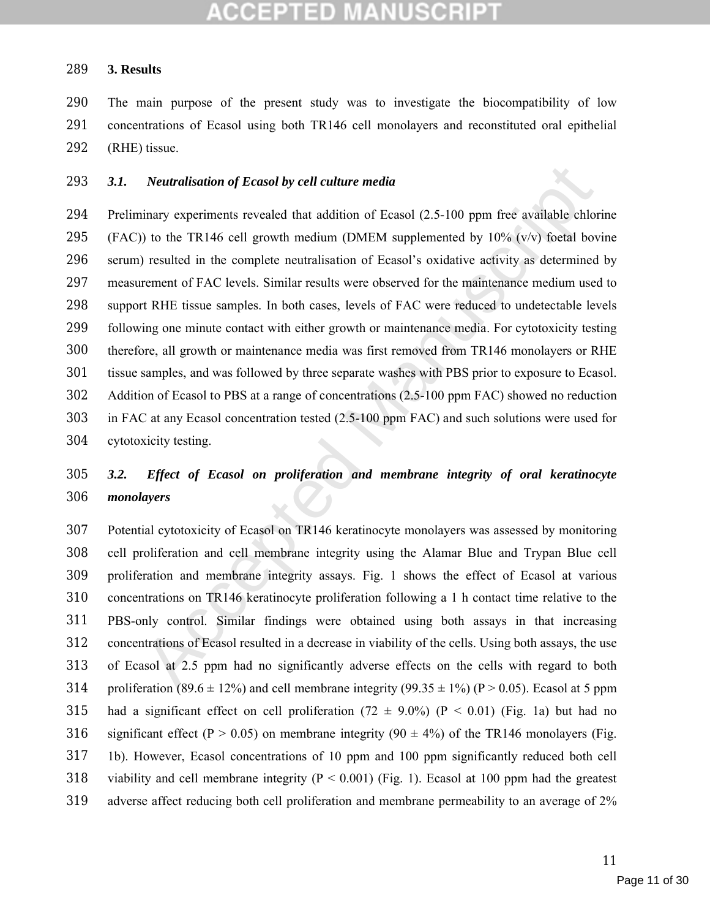#### **3. Results**

 The main purpose of the present study was to investigate the biocompatibility of low concentrations of Ecasol using both TR146 cell monolayers and reconstituted oral epithelial 292 (RHE) tissue.

#### *3.1. Neutralisation of Ecasol by cell culture media*

**Neutralisation of Ecasol by cell culture media**<br>
minary experiments revealed that addition of Ecasol (2.5-100 ppm free available chlor<br>
1) to the TR146 cell growth medium (DMEM supplemented by 10% (v/v) foetal bov<br>
1) re Preliminary experiments revealed that addition of Ecasol (2.5-100 ppm free available chlorine 295 (FAC)) to the TR146 cell growth medium (DMEM supplemented by  $10\%$  (v/v) foetal bovine serum) resulted in the complete neutralisation of Ecasol's oxidative activity as determined by measurement of FAC levels. Similar results were observed for the maintenance medium used to support RHE tissue samples. In both cases, levels of FAC were reduced to undetectable levels following one minute contact with either growth or maintenance media. For cytotoxicity testing therefore, all growth or maintenance media was first removed from TR146 monolayers or RHE tissue samples, and was followed by three separate washes with PBS prior to exposure to Ecasol. Addition of Ecasol to PBS at a range of concentrations (2.5-100 ppm FAC) showed no reduction in FAC at any Ecasol concentration tested (2.5-100 ppm FAC) and such solutions were used for cytotoxicity testing.

### *3.2. Effect of Ecasol on proliferation and membrane integrity of oral keratinocyte monolayers*

 Potential cytotoxicity of Ecasol on TR146 keratinocyte monolayers was assessed by monitoring cell proliferation and cell membrane integrity using the Alamar Blue and Trypan Blue cell proliferation and membrane integrity assays. Fig. 1 shows the effect of Ecasol at various concentrations on TR146 keratinocyte proliferation following a 1 h contact time relative to the PBS-only control. Similar findings were obtained using both assays in that increasing concentrations of Ecasol resulted in a decrease in viability of the cells. Using both assays, the use of Ecasol at 2.5 ppm had no significantly adverse effects on the cells with regard to both 314 proliferation (89.6  $\pm$  12%) and cell membrane integrity (99.35  $\pm$  1%) (P > 0.05). Ecasol at 5 ppm 315 had a significant effect on cell proliferation  $(72 \pm 9.0\%)$  (P < 0.01) (Fig. 1a) but had no 316 significant effect (P > 0.05) on membrane integrity (90  $\pm$  4%) of the TR146 monolayers (Fig. 1b). However, Ecasol concentrations of 10 ppm and 100 ppm significantly reduced both cell 318 viability and cell membrane integrity  $(P < 0.001)$  (Fig. 1). Ecasol at 100 ppm had the greatest adverse affect reducing both cell proliferation and membrane permeability to an average of 2%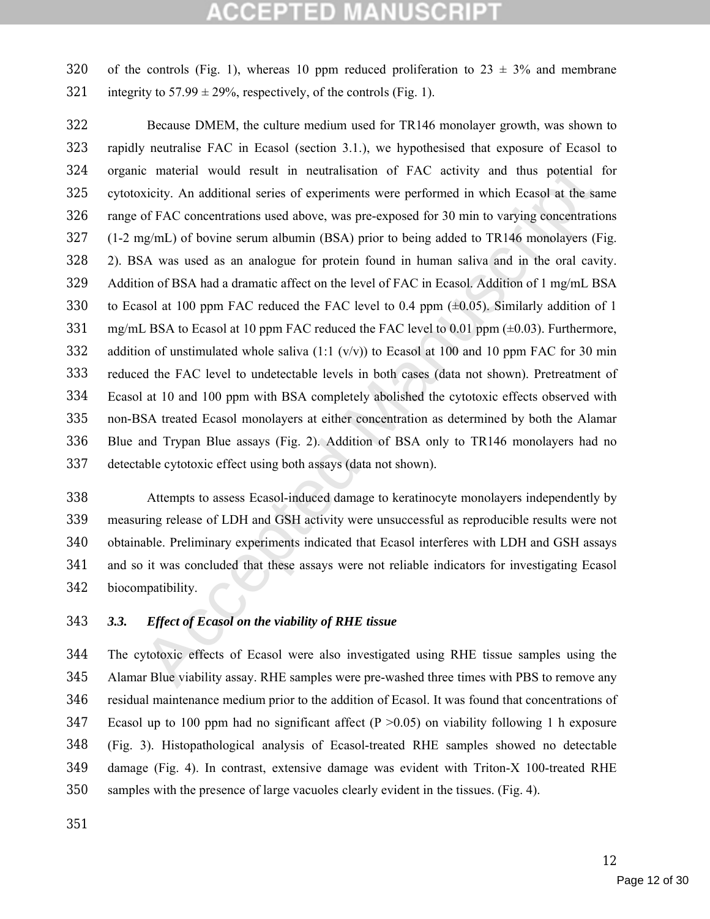320 of the controls (Fig. 1), whereas 10 ppm reduced proliferation to  $23 \pm 3\%$  and membrane 321 integrity to  $57.99 \pm 29\%$ , respectively, of the controls (Fig. 1).

c material would result in neutralisation of FAC activity and thus potential<br>xicity. An additional series of experiments were performed in which Ecasol at the sa<br>of FAC concentrations used above, was pre-exposed for 30 mi Because DMEM, the culture medium used for TR146 monolayer growth, was shown to rapidly neutralise FAC in Ecasol (section 3.1.), we hypothesised that exposure of Ecasol to organic material would result in neutralisation of FAC activity and thus potential for cytotoxicity. An additional series of experiments were performed in which Ecasol at the same range of FAC concentrations used above, was pre-exposed for 30 min to varying concentrations (1-2 mg/mL) of bovine serum albumin (BSA) prior to being added to TR146 monolayers (Fig. 2). BSA was used as an analogue for protein found in human saliva and in the oral cavity. Addition of BSA had a dramatic affect on the level of FAC in Ecasol. Addition of 1 mg/mL BSA 330 to Ecasol at 100 ppm FAC reduced the FAC level to 0.4 ppm  $(\pm 0.05)$ . Similarly addition of 1 331 mg/mL BSA to Ecasol at 10 ppm FAC reduced the FAC level to 0.01 ppm  $(\pm 0.03)$ . Furthermore, 332 addition of unstimulated whole saliva  $(1:1 (v/v))$  to Ecasol at 100 and 10 ppm FAC for 30 min reduced the FAC level to undetectable levels in both cases (data not shown). Pretreatment of Ecasol at 10 and 100 ppm with BSA completely abolished the cytotoxic effects observed with non-BSA treated Ecasol monolayers at either concentration as determined by both the Alamar Blue and Trypan Blue assays (Fig. 2). Addition of BSA only to TR146 monolayers had no detectable cytotoxic effect using both assays (data not shown).

 Attempts to assess Ecasol-induced damage to keratinocyte monolayers independently by measuring release of LDH and GSH activity were unsuccessful as reproducible results were not obtainable. Preliminary experiments indicated that Ecasol interferes with LDH and GSH assays and so it was concluded that these assays were not reliable indicators for investigating Ecasol biocompatibility.

### *3.3. Effect of Ecasol on the viability of RHE tissue*

 The cytotoxic effects of Ecasol were also investigated using RHE tissue samples using the Alamar Blue viability assay. RHE samples were pre-washed three times with PBS to remove any residual maintenance medium prior to the addition of Ecasol. It was found that concentrations of 347 Ecasol up to 100 ppm had no significant affect  $(P > 0.05)$  on viability following 1 h exposure (Fig. 3). Histopathological analysis of Ecasol-treated RHE samples showed no detectable damage (Fig. 4). In contrast, extensive damage was evident with Triton-X 100-treated RHE samples with the presence of large vacuoles clearly evident in the tissues. (Fig. 4).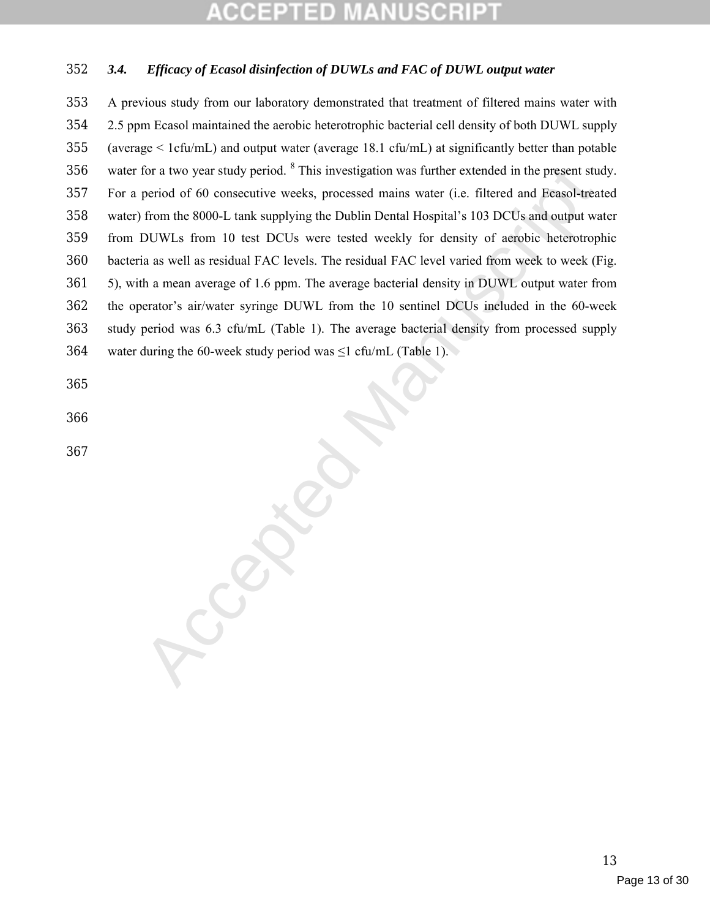## ED

### *3.4. Efficacy of Ecasol disinfection of DUWLs and FAC of DUWL output water*

for a two year study period. <sup>8</sup> This investigation was further extended in the present studential period of 60 consecutive weeks, processed mains water (i.e. filtered and Ecasol-treation from the 8000-1. tank supplying t A previous study from our laboratory demonstrated that treatment of filtered mains water with 2.5 ppm Ecasol maintained the aerobic heterotrophic bacterial cell density of both DUWL supply (average < 1cfu/mL) and output water (average 18.1 cfu/mL) at significantly better than potable 356 water for a two year study period. This investigation was further extended in the present study. For a period of 60 consecutive weeks, processed mains water (i.e. filtered and Ecasol-treated water) from the 8000-L tank supplying the Dublin Dental Hospital's 103 DCUs and output water from DUWLs from 10 test DCUs were tested weekly for density of aerobic heterotrophic bacteria as well as residual FAC levels. The residual FAC level varied from week to week (Fig. 5), with a mean average of 1.6 ppm. The average bacterial density in DUWL output water from the operator's air/water syringe DUWL from the 10 sentinel DCUs included in the 60-week study period was 6.3 cfu/mL (Table 1). The average bacterial density from processed supply 364 water during the 60-week study period was  $\leq 1$  cfu/mL (Table 1).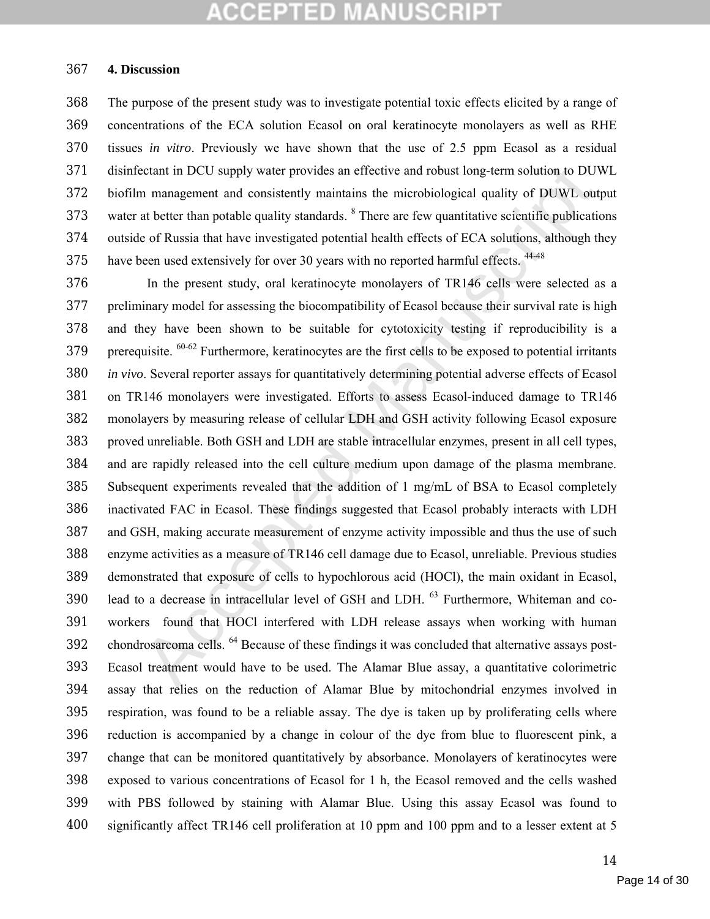#### **4. Discussion**

 The purpose of the present study was to investigate potential toxic effects elicited by a range of concentrations of the ECA solution Ecasol on oral keratinocyte monolayers as well as RHE tissues *in vitro*. Previously we have shown that the use of 2.5 ppm Ecasol as a residual disinfectant in DCU supply water provides an effective and robust long-term solution to DUWL biofilm management and consistently maintains the microbiological quality of DUWL output 373 water at better than potable quality standards. There are few quantitative scientific publications outside of Russia that have investigated potential health effects of ECA solutions, although they 375 have been used extensively for over 30 years with no reported harmful effects. <sup>44-48</sup>

cclant in DCU supply water provides an effective and robust long-term solution to DUN<br>management and consistently maintains the microbiological quality of DUWL out<br>at better than potable quality standards. <sup>8</sup> There are f In the present study, oral keratinocyte monolayers of TR146 cells were selected as a preliminary model for assessing the biocompatibility of Ecasol because their survival rate is high and they have been shown to be suitable for cytotoxicity testing if reproducibility is a 379 prerequisite. <sup>60-62</sup> Furthermore, keratinocytes are the first cells to be exposed to potential irritants *in vivo*. Several reporter assays for quantitatively determining potential adverse effects of Ecasol on TR146 monolayers were investigated. Efforts to assess Ecasol-induced damage to TR146 monolayers by measuring release of cellular LDH and GSH activity following Ecasol exposure proved unreliable. Both GSH and LDH are stable intracellular enzymes, present in all cell types, and are rapidly released into the cell culture medium upon damage of the plasma membrane. Subsequent experiments revealed that the addition of 1 mg/mL of BSA to Ecasol completely inactivated FAC in Ecasol. These findings suggested that Ecasol probably interacts with LDH and GSH, making accurate measurement of enzyme activity impossible and thus the use of such enzyme activities as a measure of TR146 cell damage due to Ecasol, unreliable. Previous studies demonstrated that exposure of cells to hypochlorous acid (HOCl), the main oxidant in Ecasol, 390 lead to a decrease in intracellular level of GSH and LDH. <sup>63</sup> Furthermore, Whiteman and co- workers found that HOCl interfered with LDH release assays when working with human 392 chondrosarcoma cells. <sup>64</sup> Because of these findings it was concluded that alternative assays post- Ecasol treatment would have to be used. The Alamar Blue assay, a quantitative colorimetric assay that relies on the reduction of Alamar Blue by mitochondrial enzymes involved in respiration, was found to be a reliable assay. The dye is taken up by proliferating cells where reduction is accompanied by a change in colour of the dye from blue to fluorescent pink, a change that can be monitored quantitatively by absorbance. Monolayers of keratinocytes were exposed to various concentrations of Ecasol for 1 h, the Ecasol removed and the cells washed with PBS followed by staining with Alamar Blue. Using this assay Ecasol was found to significantly affect TR146 cell proliferation at 10 ppm and 100 ppm and to a lesser extent at 5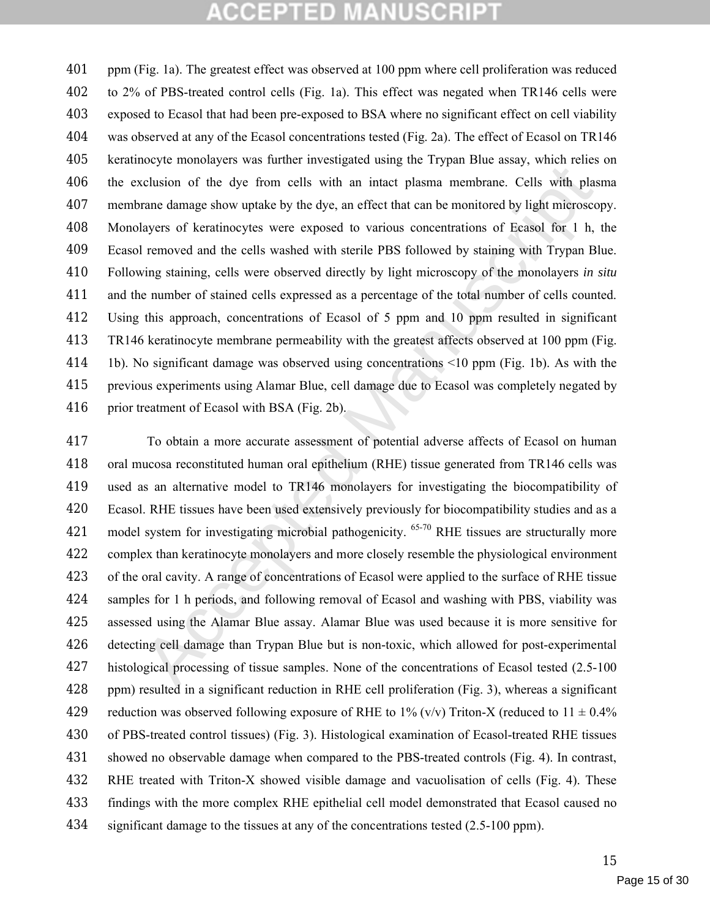External values of the discussion of the discussion of the priorial contents are even then there are even the proportion of the dye from cells with an intert plasma membrane. Cells with plas rane damage show uptake by the ppm (Fig. 1a). The greatest effect was observed at 100 ppm where cell proliferation was reduced to 2% of PBS-treated control cells (Fig. 1a). This effect was negated when TR146 cells were exposed to Ecasol that had been pre-exposed to BSA where no significant effect on cell viability was observed at any of the Ecasol concentrations tested (Fig. 2a). The effect of Ecasol on TR146 keratinocyte monolayers was further investigated using the Trypan Blue assay, which relies on the exclusion of the dye from cells with an intact plasma membrane. Cells with plasma membrane damage show uptake by the dye, an effect that can be monitored by light microscopy. Monolayers of keratinocytes were exposed to various concentrations of Ecasol for 1 h, the Ecasol removed and the cells washed with sterile PBS followed by staining with Trypan Blue. Following staining, cells were observed directly by light microscopy of the monolayers *in situ* and the number of stained cells expressed as a percentage of the total number of cells counted. Using this approach, concentrations of Ecasol of 5 ppm and 10 ppm resulted in significant TR146 keratinocyte membrane permeability with the greatest affects observed at 100 ppm (Fig. 1b). No significant damage was observed using concentrations <10 ppm (Fig. 1b). As with the previous experiments using Alamar Blue, cell damage due to Ecasol was completely negated by 416 prior treatment of Ecasol with BSA (Fig. 2b).

 To obtain a more accurate assessment of potential adverse affects of Ecasol on human oral mucosa reconstituted human oral epithelium (RHE) tissue generated from TR146 cells was used as an alternative model to TR146 monolayers for investigating the biocompatibility of Ecasol. RHE tissues have been used extensively previously for biocompatibility studies and as a 421 model system for investigating microbial pathogenicity.  $65-70$  RHE tissues are structurally more complex than keratinocyte monolayers and more closely resemble the physiological environment of the oral cavity. A range of concentrations of Ecasol were applied to the surface of RHE tissue samples for 1 h periods, and following removal of Ecasol and washing with PBS, viability was assessed using the Alamar Blue assay. Alamar Blue was used because it is more sensitive for detecting cell damage than Trypan Blue but is non-toxic, which allowed for post-experimental histological processing of tissue samples. None of the concentrations of Ecasol tested (2.5-100 ppm) resulted in a significant reduction in RHE cell proliferation (Fig. 3), whereas a significant 429 reduction was observed following exposure of RHE to 1% (v/v) Triton-X (reduced to  $11 \pm 0.4\%$  of PBS-treated control tissues) (Fig. 3). Histological examination of Ecasol-treated RHE tissues showed no observable damage when compared to the PBS-treated controls (Fig. 4). In contrast, RHE treated with Triton-X showed visible damage and vacuolisation of cells (Fig. 4). These findings with the more complex RHE epithelial cell model demonstrated that Ecasol caused no 434 significant damage to the tissues at any of the concentrations tested (2.5-100 ppm).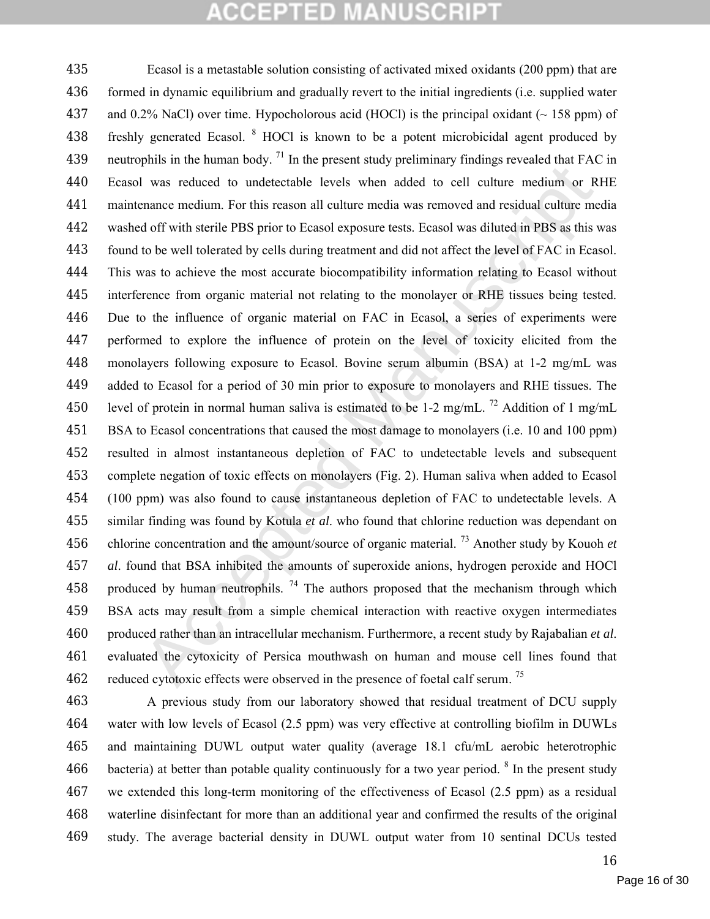Frame the numation of the present state and the state and the mechanism of the present state of the present state of the present state of the explorite the develops when and the state of the wall to the seal of from the s Ecasol is a metastable solution consisting of activated mixed oxidants (200 ppm) that are formed in dynamic equilibrium and gradually revert to the initial ingredients (i.e. supplied water 437 and 0.2% NaCl) over time. Hypocholorous acid (HOCl) is the principal oxidant  $($   $\sim$  158 ppm) of 438 freshly generated Ecasol. <sup>8</sup> HOCl is known to be a potent microbicidal agent produced by 439 neutrophils in the human body.  $^{71}$  In the present study preliminary findings revealed that FAC in Ecasol was reduced to undetectable levels when added to cell culture medium or RHE maintenance medium. For this reason all culture media was removed and residual culture media washed off with sterile PBS prior to Ecasol exposure tests. Ecasol was diluted in PBS as this was found to be well tolerated by cells during treatment and did not affect the level of FAC in Ecasol. This was to achieve the most accurate biocompatibility information relating to Ecasol without interference from organic material not relating to the monolayer or RHE tissues being tested. Due to the influence of organic material on FAC in Ecasol, a series of experiments were performed to explore the influence of protein on the level of toxicity elicited from the monolayers following exposure to Ecasol. Bovine serum albumin (BSA) at 1-2 mg/mL was added to Ecasol for a period of 30 min prior to exposure to monolayers and RHE tissues. The 450 level of protein in normal human saliva is estimated to be 1-2 mg/mL. <sup>72</sup> Addition of 1 mg/mL BSA to Ecasol concentrations that caused the most damage to monolayers (i.e. 10 and 100 ppm) resulted in almost instantaneous depletion of FAC to undetectable levels and subsequent complete negation of toxic effects on monolayers (Fig. 2). Human saliva when added to Ecasol (100 ppm) was also found to cause instantaneous depletion of FAC to undetectable levels. A similar finding was found by Kotula *et al*. who found that chlorine reduction was dependant on 456 chlorine concentration and the amount/source of organic material.<sup>73</sup> Another study by Kouoh *et al*. found that BSA inhibited the amounts of superoxide anions, hydrogen peroxide and HOCl 458 produced by human neutrophils. <sup>74</sup> The authors proposed that the mechanism through which BSA acts may result from a simple chemical interaction with reactive oxygen intermediates produced rather than an intracellular mechanism. Furthermore, a recent study by Rajabalian *et al*. evaluated the cytoxicity of Persica mouthwash on human and mouse cell lines found that 462 reduced cytotoxic effects were observed in the presence of foetal calf serum.<sup>75</sup>

 A previous study from our laboratory showed that residual treatment of DCU supply water with low levels of Ecasol (2.5 ppm) was very effective at controlling biofilm in DUWLs and maintaining DUWL output water quality (average 18.1 cfu/mL aerobic heterotrophic 466 bacteria) at better than potable quality continuously for a two year period. <sup>8</sup> In the present study we extended this long-term monitoring of the effectiveness of Ecasol (2.5 ppm) as a residual waterline disinfectant for more than an additional year and confirmed the results of the original study. The average bacterial density in DUWL output water from 10 sentinal DCUs tested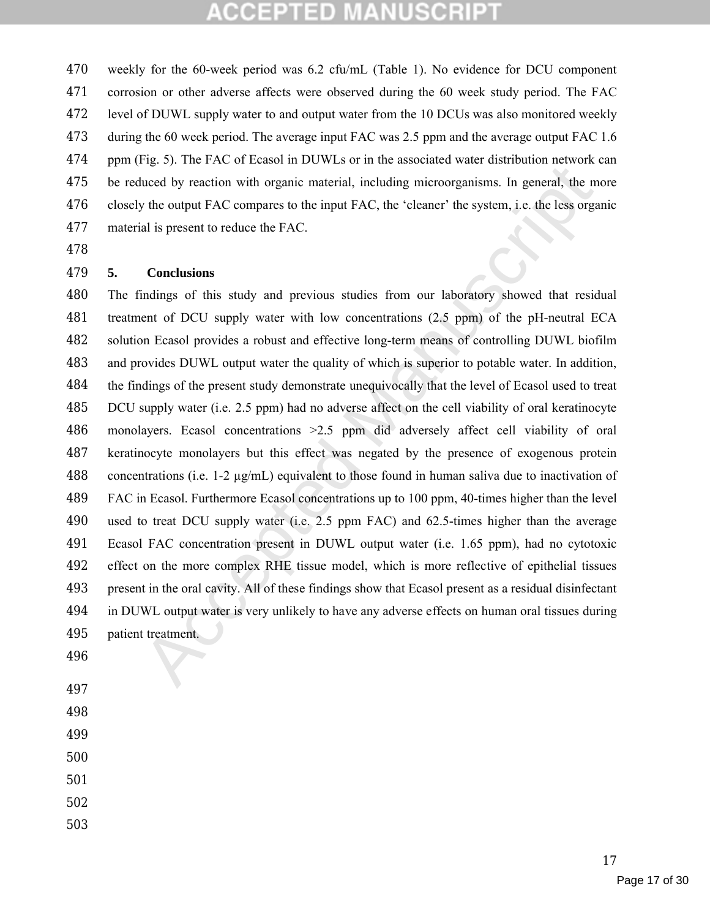weekly for the 60-week period was 6.2 cfu/mL (Table 1). No evidence for DCU component corrosion or other adverse affects were observed during the 60 week study period. The FAC level of DUWL supply water to and output water from the 10 DCUs was also monitored weekly during the 60 week period. The average input FAC was 2.5 ppm and the average output FAC 1.6 ppm (Fig. 5). The FAC of Ecasol in DUWLs or in the associated water distribution network can be reduced by reaction with organic material, including microorganisms. In general, the more closely the output FAC compares to the input FAC, the 'cleaner' the system, i.e. the less organic material is present to reduce the FAC.

#### **5. Conclusions**

For the CE Latter and the between the denotes the mean of the set the set the set of the set the set of the set of the conduction of the output FAC compares to the input FAC, the 'cleaner' the system, i.e. the less organ The findings of this study and previous studies from our laboratory showed that residual treatment of DCU supply water with low concentrations (2.5 ppm) of the pH-neutral ECA solution Ecasol provides a robust and effective long-term means of controlling DUWL biofilm and provides DUWL output water the quality of which is superior to potable water. In addition, the findings of the present study demonstrate unequivocally that the level of Ecasol used to treat DCU supply water (i.e. 2.5 ppm) had no adverse affect on the cell viability of oral keratinocyte monolayers. Ecasol concentrations >2.5 ppm did adversely affect cell viability of oral keratinocyte monolayers but this effect was negated by the presence of exogenous protein 488 concentrations (i.e. 1-2  $\mu$ g/mL) equivalent to those found in human saliva due to inactivation of FAC in Ecasol. Furthermore Ecasol concentrations up to 100 ppm, 40-times higher than the level used to treat DCU supply water (i.e. 2.5 ppm FAC) and 62.5-times higher than the average Ecasol FAC concentration present in DUWL output water (i.e. 1.65 ppm), had no cytotoxic effect on the more complex RHE tissue model, which is more reflective of epithelial tissues present in the oral cavity. All of these findings show that Ecasol present as a residual disinfectant in DUWL output water is very unlikely to have any adverse effects on human oral tissues during patient treatment.

- 
- 
- 
- 
- 
- 
- 
-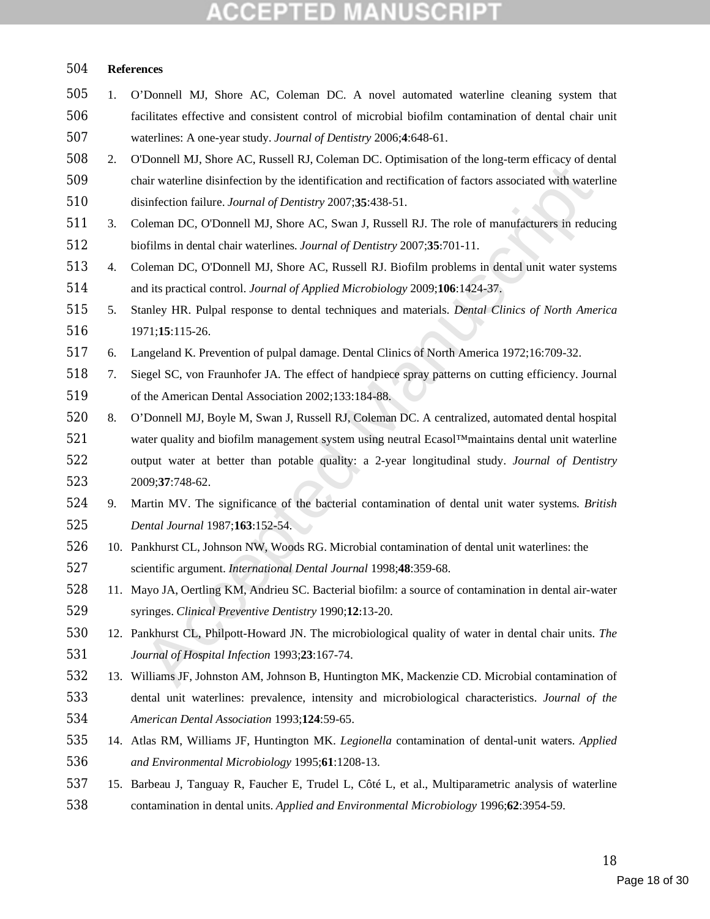#### **NUSCRIP** CCEPTED MA

#### **References**

- 1. O'Donnell MJ, Shore AC, Coleman DC. A novel automated waterline cleaning system that facilitates effective and consistent control of microbial biofilm contamination of dental chair unit waterlines: A one-year study. *Journal of Dentistry* 2006;**4**:648-61.
- 2. O'Donnell MJ, Shore AC, Russell RJ, Coleman DC. Optimisation of the long-term efficacy of dental chair waterline disinfection by the identification and rectification of factors associated with waterline disinfection failure. *Journal of Dentistry* 2007;**35**:438-51.
- 3. Coleman DC, O'Donnell MJ, Shore AC, Swan J, Russell RJ. The role of manufacturers in reducing biofilms in dental chair waterlines. *Journal of Dentistry* 2007;**35**:701-11.
- 4. Coleman DC, O'Donnell MJ, Shore AC, Russell RJ. Biofilm problems in dental unit water systems and its practical control. *Journal of Applied Microbiology* 2009;**106**:1424-37.
- 5. Stanley HR. Pulpal response to dental techniques and materials. *Dental Clinics of North America* 1971;**15**:115-26.
- 6. Langeland K. Prevention of pulpal damage. Dental Clinics of North America 1972;16:709-32.
- 7. Siegel SC, von Fraunhofer JA. The effect of handpiece spray patterns on cutting efficiency. Journal of the American Dental Association 2002;133:184-88.
- uair watchine disinfection by the identification and rectification of factors associated with waterly<br>sinfection failure. Journal of Dentistry 2007;35:438-51.<br>Sinfection failure. Journal of Dentistry 2007;35:438-51.<br>Delema 8. O'Donnell MJ, Boyle M, Swan J, Russell RJ, Coleman DC. A centralized, automated dental hospital water quality and biofilm management system using neutral Ecasol™maintains dental unit waterline output water at better than potable quality: a 2-year longitudinal study. *Journal of Dentistry* 2009;**37**:748-62.
- 9. Martin MV. The significance of the bacterial contamination of dental unit water systems. *British Dental Journal* 1987;**163**:152-54.
- 10. Pankhurst CL, Johnson NW, Woods RG. Microbial contamination of dental unit waterlines: the scientific argument. *International Dental Journal* 1998;**48**:359-68.
- 11. Mayo JA, Oertling KM, Andrieu SC. Bacterial biofilm: a source of contamination in dental air-water syringes. *Clinical Preventive Dentistry* 1990;**12**:13-20.
- 12. Pankhurst CL, Philpott-Howard JN. The microbiological quality of water in dental chair units. *The Journal of Hospital Infection* 1993;**23**:167-74.
- 13. Williams JF, Johnston AM, Johnson B, Huntington MK, Mackenzie CD. Microbial contamination of dental unit waterlines: prevalence, intensity and microbiological characteristics. *Journal of the American Dental Association* 1993;**124**:59-65.
- 14. Atlas RM, Williams JF, Huntington MK. *Legionella* contamination of dental-unit waters. *Applied and Environmental Microbiology* 1995;**61**:1208-13.
- 15. Barbeau J, Tanguay R, Faucher E, Trudel L, Côté L, et al., Multiparametric analysis of waterline contamination in dental units. *Applied and Environmental Microbiology* 1996;**62**:3954-59.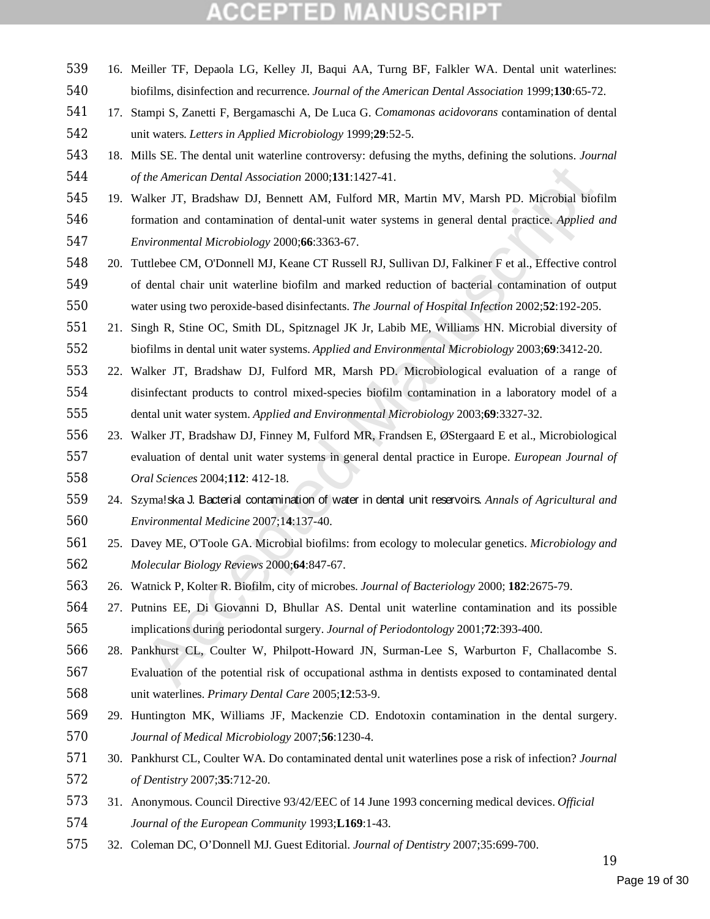- 16. Meiller TF, Depaola LG, Kelley JI, Baqui AA, Turng BF, Falkler WA. Dental unit waterlines: biofilms, disinfection and recurrence. *Journal of the American Dental Association* 1999;**130**:65-72. 17. Stampi S, Zanetti F, Bergamaschi A, De Luca G. *Comamonas acidovorans* contamination of dental unit waters. *Letters in Applied Microbiology* 1999;**29**:52-5. 18. Mills SE. The dental unit waterline controversy: defusing the myths, defining the solutions. *Journal of the American Dental Association* 2000;**131**:1427-41. 19. Walker JT, Bradshaw DJ, Bennett AM, Fulford MR, Martin MV, Marsh PD. Microbial biofilm
- formation and contamination of dental-unit water systems in general dental practice. *Applied and Environmental Microbiology* 2000;**66**:3363-67.
- 20. Tuttlebee CM, O'Donnell MJ, Keane CT Russell RJ, Sullivan DJ, Falkiner F et al., Effective control of dental chair unit waterline biofilm and marked reduction of bacterial contamination of output water using two peroxide-based disinfectants. *The Journal of Hospital Infection* 2002;**52**:192-205.
- 21. Singh R, Stine OC, Smith DL, Spitznagel JK Jr, Labib ME, Williams HN. Microbial diversity of biofilms in dental unit water systems. *Applied and Environmental Microbiology* 2003;**69**:3412-20.
- 22. Walker JT, Bradshaw DJ, Fulford MR, Marsh PD. Microbiological evaluation of a range of disinfectant products to control mixed-species biofilm contamination in a laboratory model of a dental unit water system. *Applied and Environmental Microbiology* 2003;**69**:3327-32.
- The American Dental Association 2000;131:1427-41.<br>
Talker JT, Bradshaw DJ, Bennett AM, Fulford MR, Martin MV, Marsh PD. Microbial biof<br>
raticion and contamination of dental-unit water systems in general dental practice *Ap*  23. Walker JT, Bradshaw DJ, Finney M, Fulford MR, Frandsen E, ØStergaard E et al., Microbiological evaluation of dental unit water systems in general dental practice in Europe. *European Journal of Oral Sciences* 2004;**112**: 412-18.
- 24. Szyma!ska J. Bacterial contamination of water in dental unit reservoirs. *Annals of Agricultural and Environmental Medicine* 2007;1**4**:137-40.
- 25. Davey ME, O'Toole GA. Microbial biofilms: from ecology to molecular genetics. *Microbiology and Molecular Biology Reviews* 2000;**64**:847-67.
- 26. Watnick P, Kolter R. Biofilm, city of microbes. *Journal of Bacteriology* 2000; **182**:2675-79.
- 27. Putnins EE, Di Giovanni D, Bhullar AS. Dental unit waterline contamination and its possible implications during periodontal surgery. *Journal of Periodontology* 2001;**72**:393-400.
- 28. Pankhurst CL, Coulter W, Philpott-Howard JN, Surman-Lee S, Warburton F, Challacombe S.
- Evaluation of the potential risk of occupational asthma in dentists exposed to contaminated dental unit waterlines. *Primary Dental Care* 2005;**12**:53-9.
- 29. Huntington MK, Williams JF, Mackenzie CD. Endotoxin contamination in the dental surgery. *Journal of Medical Microbiology* 2007;**56**:1230-4.
- 30. Pankhurst CL, Coulter WA. Do contaminated dental unit waterlines pose a risk of infection? *Journal of Dentistry* 2007;**35**:712-20.
- 31. Anonymous. Council Directive 93/42/EEC of 14 June 1993 concerning medical devices. *Official*
- *Journal of the European Community* 1993;**L169**:1-43.
- 32. Coleman DC, O'Donnell MJ. Guest Editorial. *Journal of Dentistry* 2007;35:699-700.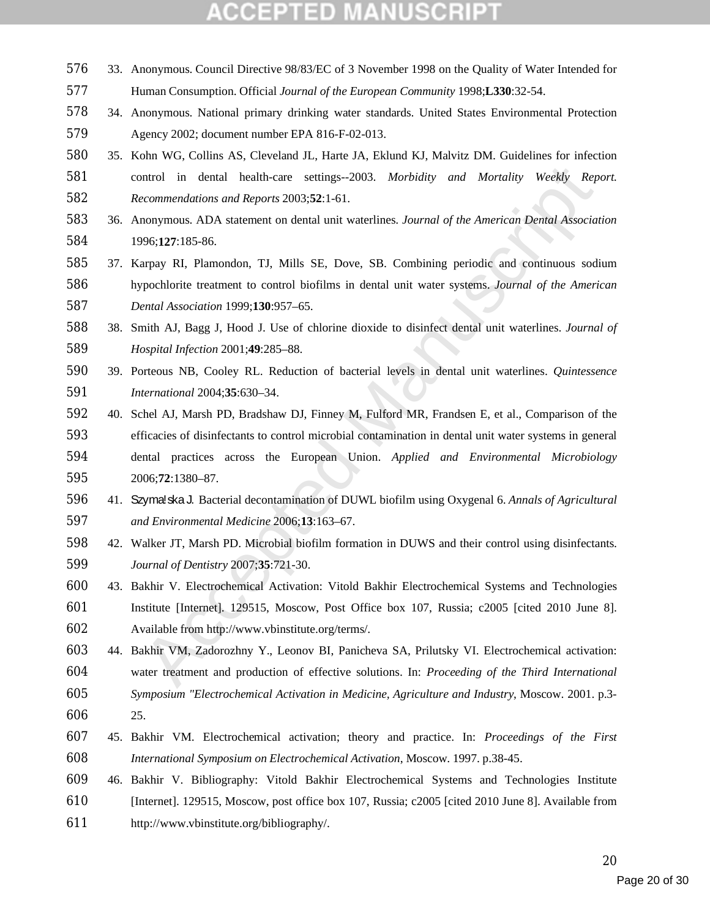- 33. Anonymous. Council Directive 98/83/EC of 3 November 1998 on the Quality of Water Intended for
- Human Consumption. Official *Journal of the European Community* 1998;**L330**:32-54.
- 34. Anonymous. National primary drinking water standards. United States Environmental Protection Agency 2002; document number EPA 816-F-02-013.
- 35. Kohn WG, Collins AS, Cleveland JL, Harte JA, Eklund KJ, Malvitz DM. Guidelines for infection control in dental health-care settings--2003. *Morbidity and Mortality Weekly Report. Recommendations and Reports* 2003;**52**:1-61.
- 36. Anonymous. ADA statement on dental unit waterlines. *Journal of the American Dental Association* 1996;**127**:185-86.
- 37. Karpay RI, Plamondon, TJ, Mills SE, Dove, SB. Combining periodic and continuous sodium hypochlorite treatment to control biofilms in dental unit water systems. *Journal of the American Dental Association* 1999;**130**:957–65.
- 38. Smith AJ, Bagg J, Hood J. Use of chlorine dioxide to disinfect dental unit waterlines. *Journal of Hospital Infection* 2001;**49**:285–88.
- 39. Porteous NB, Cooley RL. Reduction of bacterial levels in dental unit waterlines. *Quintessence International* 2004;**35**:630–34.
- ntrol in dental health-care settings--2003. *Morbidity and Mortality Weekly Reprommendations and Reports* 2003;52:1-61.<br>
monymous. ADA statement on dental unit waterlines *Journal of the American Dental Associat*<br>
2003;127 40. Schel AJ, Marsh PD, Bradshaw DJ, Finney M, Fulford MR, Frandsen E, et al., Comparison of the efficacies of disinfectants to control microbial contamination in dental unit water systems in general dental practices across the European Union. *Applied and Environmental Microbiology* 2006;**72**:1380–87.
- 41. Szyma!ska J. Bacterial decontamination of DUWL biofilm using Oxygenal 6. *Annals of Agricultural and Environmental Medicine* 2006;**13**:163–67.
- 42. Walker JT, Marsh PD. Microbial biofilm formation in DUWS and their control using disinfectants. *Journal of Dentistry* 2007;**35**:721-30.
- 43. Bakhir V. Electrochemical Activation: Vitold Bakhir Electrochemical Systems and Technologies Institute [Internet]. 129515, Moscow, Post Office box 107, Russia; c2005 [cited 2010 June 8]. Available from http://www.vbinstitute.org/terms/.
- 44. Bakhir VM, Zadorozhny Y., Leonov BI, Panicheva SA, Prilutsky VI. Electrochemical activation: water treatment and production of effective solutions. In: *Proceeding of the Third International Symposium "Electrochemical Activation in Medicine, Agriculture and Industry*, Moscow. 2001. p.3-
- 25.
- 45. Bakhir VM. Electrochemical activation; theory and practice. In: *Proceedings of the First International Symposium on Electrochemical Activation*, Moscow. 1997. p.38-45.
- 46. Bakhir V. Bibliography: Vitold Bakhir Electrochemical Systems and Technologies Institute [Internet]. 129515, Moscow, post office box 107, Russia; c2005 [cited 2010 June 8]. Available from http://www.vbinstitute.org/bibliography/.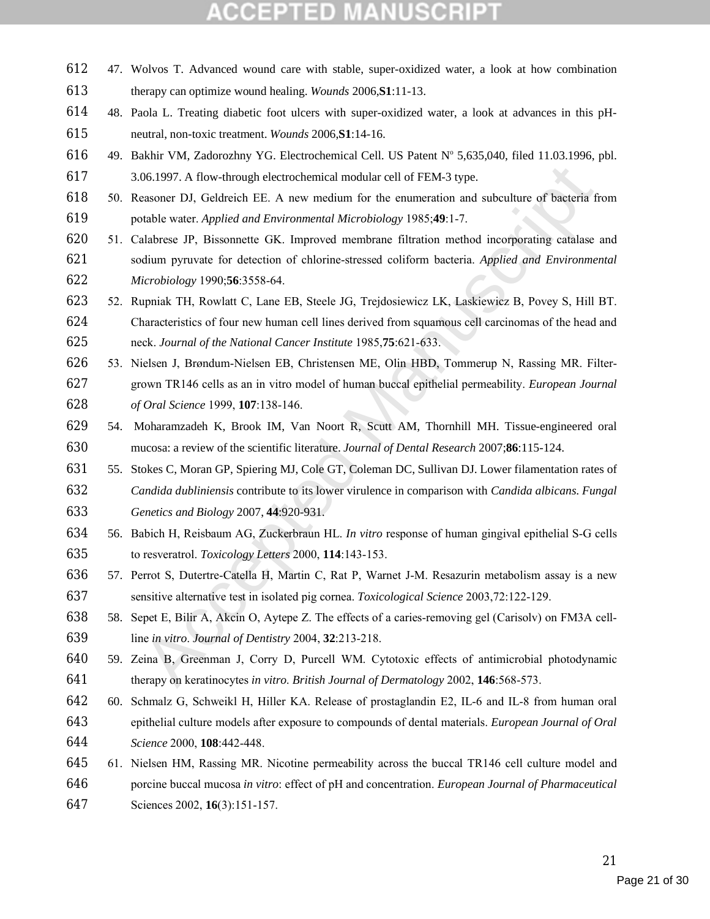- 47. Wolvos T. Advanced wound care with stable, super-oxidized water, a look at how combination therapy can optimize wound healing. *Wounds* 2006,**S1**:11-13.
- 48. Paola L. Treating diabetic foot ulcers with super-oxidized water, a look at advances in this pH-neutral, non-toxic treatment. *Wounds* 2006,**S1**:14-16.
- 616 49. Bakhir VM, Zadorozhny YG. Electrochemical Cell. US Patent N° 5,635,040, filed 11.03.1996, pbl. 3.06.1997. A flow-through electrochemical modular cell of FEM-3 type.
- 50. Reasoner DJ, Geldreich EE. A new medium for the enumeration and subculture of bacteria from potable water. *Applied and Environmental Microbiology* 1985;**49**:1-7.
- 51. Calabrese JP, Bissonnette GK. Improved membrane filtration method incorporating catalase and sodium pyruvate for detection of chlorine-stressed coliform bacteria. *Applied and Environmental Microbiology* 1990;**56**:3558-64.
- 52. Rupniak TH, Rowlatt C, Lane EB, Steele JG, Trejdosiewicz LK, Laskiewicz B, Povey S, Hill BT. Characteristics of four new human cell lines derived from squamous cell carcinomas of the head and neck. *Journal of the National Cancer Institute* 1985,**75**:621-633.
- 06.1997. A flow-through electrochemical modular cell of FEM-3 type.<br>
easoner DJ, Geldreich EE. A new medium for the enumeration and subculture of bacteria fr<br>
atable watt. Applied and Environmental Microbiology 1985;49:1-7 53. Nielsen J, Brøndum-Nielsen EB, Christensen ME, Olin HBD, Tommerup N, Rassing MR. Filter- grown TR146 cells as an in vitro model of human buccal epithelial permeability. *European Journal of Oral Science* 1999, **107**:138-146.
- 54. Moharamzadeh K, Brook IM, Van Noort R, Scutt AM, Thornhill MH. Tissue-engineered oral mucosa: a review of the scientific literature. *Journal of Dental Research* 2007;**86**:115-124.
- 55. Stokes C, Moran GP, Spiering MJ, Cole GT, Coleman DC, Sullivan DJ. Lower filamentation rates of *Candida dubliniensis* contribute to its lower virulence in comparison with *Candida albicans*. *Fungal Genetics and Biology* 2007, **44**:920-931.
- 56. Babich H, Reisbaum AG, Zuckerbraun HL. *In vitro* response of human gingival epithelial S-G cells to resveratrol. *Toxicology Letters* 2000, **114**:143-153.
- 57. Perrot S, Dutertre-Catella H, Martin C, Rat P, Warnet J-M. Resazurin metabolism assay is a new sensitive alternative test in isolated pig cornea. *Toxicological Science* 2003,72:122-129.
- 58. Sepet E, Bilir A, Akcin O, Aytepe Z. The effects of a caries-removing gel (Carisolv) on FM3A cell-line *in vitro*. *Journal of Dentistry* 2004, **32**:213-218.
- 59. Zeina B, Greenman J, Corry D, Purcell WM. Cytotoxic effects of antimicrobial photodynamic therapy on keratinocytes *in vitro*. *British Journal of Dermatology* 2002, **146**:568-573.
- 60. Schmalz G, Schweikl H, Hiller KA. Release of prostaglandin E2, IL-6 and IL-8 from human oral epithelial culture models after exposure to compounds of dental materials. *European Journal of Oral Science* 2000, **108**:442-448.
- 61. Nielsen HM, Rassing MR. Nicotine permeability across the buccal TR146 cell culture model and porcine buccal mucosa *in vitro*: effect of pH and concentration. *European Journal of Pharmaceutical* Sciences 2002, **16**(3):151-157.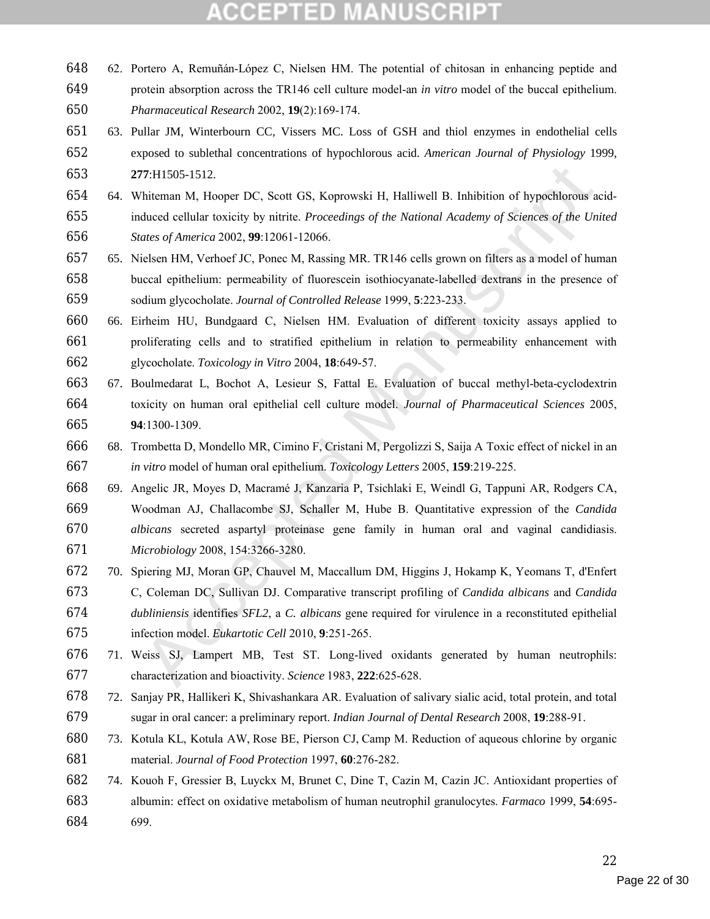- 62. Portero A, Remuñán-López C, Nielsen HM. The potential of chitosan in enhancing peptide and protein absorption across the TR146 cell culture model-an *in vitro* model of the buccal epithelium. *Pharmaceutical Research* 2002, **19**(2):169-174.
- 63. Pullar JM, Winterbourn CC, Vissers MC. Loss of GSH and thiol enzymes in endothelial cells exposed to sublethal concentrations of hypochlorous acid. *American Journal of Physiology* 1999, **277**:H1505-1512.
- 64. Whiteman M, Hooper DC, Scott GS, Koprowski H, Halliwell B. Inhibition of hypochlorous acid- induced cellular toxicity by nitrite. *Proceedings of the National Academy of Sciences of the United States of America* 2002, **99**:12061-12066.
- 65. Nielsen HM, Verhoef JC, Ponec M, Rassing MR. TR146 cells grown on filters as a model of human buccal epithelium: permeability of fluorescein isothiocyanate-labelled dextrans in the presence of sodium glycocholate. *Journal of Controlled Release* 1999, **5**:223-233.
- 66. Eirheim HU, Bundgaard C, Nielsen HM. Evaluation of different toxicity assays applied to proliferating cells and to stratified epithelium in relation to permeability enhancement with glycocholate. *Toxicology in Vitro* 2004, **18**:649-57.
- 67. Boulmedarat L, Bochot A, Lesieur S, Fattal E. Evaluation of buccal methyl-beta-cyclodextrin toxicity on human oral epithelial cell culture model. *Journal of Pharmaceutical Sciences* 2005, **94**:1300-1309.
- 68. Trombetta D, Mondello MR, Cimino F, Cristani M, Pergolizzi S, Saija A Toxic effect of nickel in an *in vitro* model of human oral epithelium. *Toxicology Letters* 2005, **159**:219-225.
- 17:111505-1512.<br>
Thiteman M, Hooper DC, Scott GS, Koprowski H, Halliwell B. Inhibition of hypochlorous actual oduced cellular toxicity by mitrite. *Proceedings of the National Academy of Sciences of the Uniterts dues of Am*  69. Angelic JR, Moyes D, Macramé J, Kanzaria P, Tsichlaki E, Weindl G, Tappuni AR, Rodgers CA, Woodman AJ, Challacombe SJ, Schaller M, Hube B. Quantitative expression of the *Candida albicans* secreted aspartyl proteinase gene family in human oral and vaginal candidiasis. *Microbiology* 2008, 154:3266-3280.
- 70. Spiering MJ, Moran GP, Chauvel M, Maccallum DM, Higgins J, Hokamp K, Yeomans T, d'Enfert C, Coleman DC, Sullivan DJ. Comparative transcript profiling of *Candida albicans* and *Candida dubliniensis* identifies *SFL2*, a *C. albicans* gene required for virulence in a reconstituted epithelial infection model. *Eukartotic Cell* 2010, **9**:251-265.
- 71. Weiss SJ, Lampert MB, Test ST. Long-lived oxidants generated by human neutrophils: characterization and bioactivity. *Science* 1983, **222**:625-628.
- 72. Sanjay PR, Hallikeri K, Shivashankara AR. Evaluation of salivary sialic acid, total protein, and total sugar in oral cancer: a preliminary report. *Indian Journal of Dental Research* 2008, **19**:288-91.
- 73. Kotula KL, Kotula AW, Rose BE, Pierson CJ, Camp M. Reduction of aqueous chlorine by organic material. *Journal of Food Protection* 1997, **60**:276-282.
- 74. Kouoh F, Gressier B, Luyckx M, Brunet C, Dine T, Cazin M, Cazin JC. Antioxidant properties of albumin: effect on oxidative metabolism of human neutrophil granulocytes. *Farmaco* 1999, **54**:695- 699.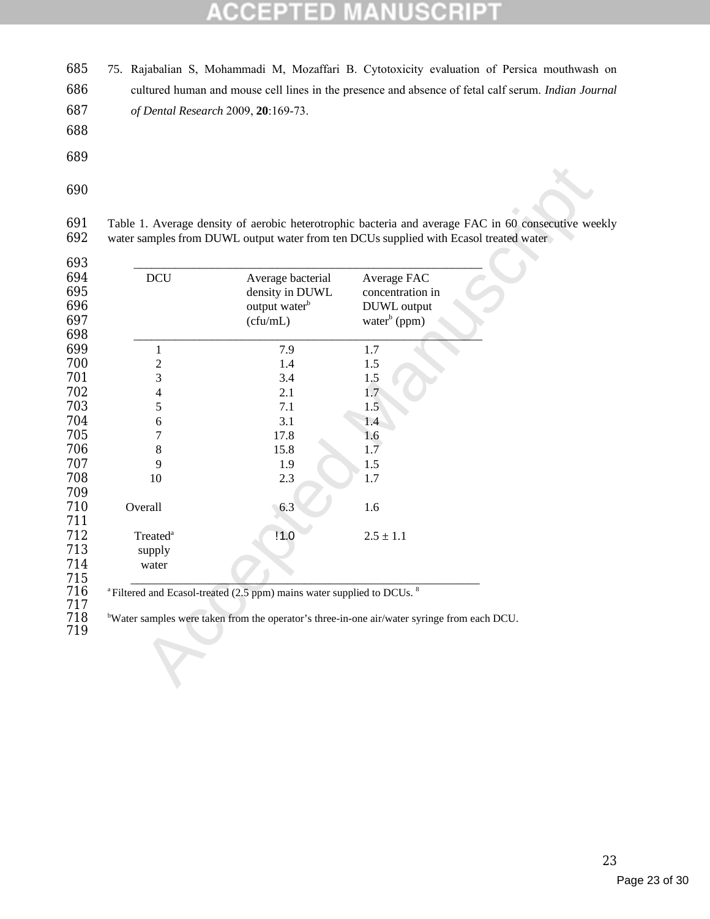#### SCRI B la, U CIC

 75. Rajabalian S, Mohammadi M, Mozaffari B. Cytotoxicity evaluation of Persica mouthwash on cultured human and mouse cell lines in the presence and absence of fetal calf serum. *Indian Journal of Dental Research* 2009, **20**:169-73.

- 
- 
- 

691 Table 1. Average density of aerobic heterotrophic bacteria and average FAC in 60 consecutive weekly water samples from DUWL output water from ten DCUs supplied with Ecasol treated water water samples from DUWL output water from ten DCUs supplied with Ecasol treated water

| <b>DCU</b>                     | Average bacterial<br>density in DUWL<br>output water <sup>b</sup><br>(cfu/mL) | Average FAC<br>concentration in<br>DUWL output<br>water <sup>b</sup> (ppm) |
|--------------------------------|-------------------------------------------------------------------------------|----------------------------------------------------------------------------|
| $\mathbf{1}$                   | 7.9                                                                           | 1.7                                                                        |
| $\overline{c}$                 | 1.4                                                                           | 1.5                                                                        |
| 3                              | 3.4                                                                           | 1.5                                                                        |
| 4                              | 2.1                                                                           | 1.7                                                                        |
| 5                              | 7.1                                                                           | 1.5                                                                        |
| 6                              | 3.1                                                                           | 1.4                                                                        |
| 7                              | 17.8                                                                          | 1.6                                                                        |
| $\,8\,$                        | 15.8                                                                          | 1.7                                                                        |
| 9                              | 1.9                                                                           | 1.5                                                                        |
| 10                             | 2.3                                                                           | 1.7                                                                        |
| Overall                        | 6.3                                                                           | 1.6                                                                        |
| Treated <sup>a</sup><br>supply | 11.0                                                                          | $2.5 \pm 1.1$                                                              |
| water                          |                                                                               |                                                                            |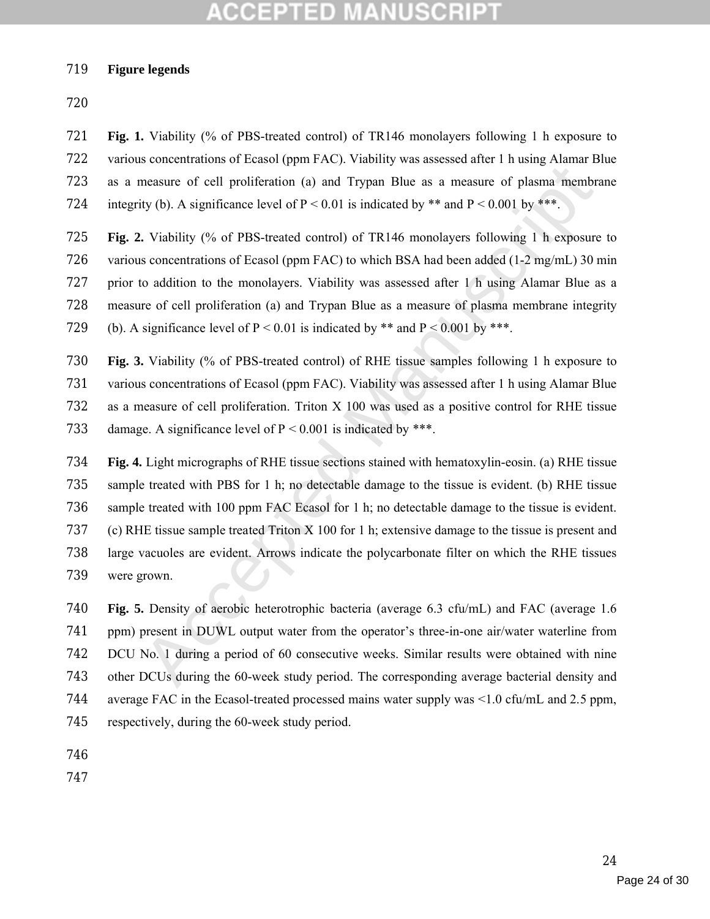#### **Figure legends**

 **Fig. 1.** Viability (% of PBS-treated control) of TR146 monolayers following 1 h exposure to various concentrations of Ecasol (ppm FAC). Viability was assessed after 1 h using Alamar Blue as a measure of cell proliferation (a) and Trypan Blue as a measure of plasma membrane 724 integrity (b). A significance level of  $P < 0.01$  is indicated by \*\* and  $P < 0.001$  by \*\*\*.

 **Fig. 2.** Viability (% of PBS-treated control) of TR146 monolayers following 1 h exposure to various concentrations of Ecasol (ppm FAC) to which BSA had been added (1-2 mg/mL) 30 min prior to addition to the monolayers. Viability was assessed after 1 h using Alamar Blue as a measure of cell proliferation (a) and Trypan Blue as a measure of plasma membrane integrity 729 (b). A significance level of  $P < 0.01$  is indicated by \*\* and  $P < 0.001$  by \*\*\*.

 **Fig. 3.** Viability (% of PBS-treated control) of RHE tissue samples following 1 h exposure to various concentrations of Ecasol (ppm FAC). Viability was assessed after 1 h using Alamar Blue as a measure of cell proliferation. Triton X 100 was used as a positive control for RHE tissue 733 damage. A significance level of  $P < 0.001$  is indicated by \*\*\*.

measure of ell proliferation (a) and Trypan Blue as a measure of plasma membrity (b). A significance level of  $P < 0.01$  is indicated by \*\* and  $P < 0.001$  by \*\*\*.<br>
Viability (% of PBS-treated control) of TR146 monolayers f **Fig. 4.** Light micrographs of RHE tissue sections stained with hematoxylin-eosin. (a) RHE tissue sample treated with PBS for 1 h; no detectable damage to the tissue is evident. (b) RHE tissue sample treated with 100 ppm FAC Ecasol for 1 h; no detectable damage to the tissue is evident. (c) RHE tissue sample treated Triton X 100 for 1 h; extensive damage to the tissue is present and large vacuoles are evident. Arrows indicate the polycarbonate filter on which the RHE tissues were grown.

 **Fig. 5.** Density of aerobic heterotrophic bacteria (average 6.3 cfu/mL) and FAC (average 1.6 ppm) present in DUWL output water from the operator's three-in-one air/water waterline from DCU No. 1 during a period of 60 consecutive weeks. Similar results were obtained with nine other DCUs during the 60-week study period. The corresponding average bacterial density and average FAC in the Ecasol-treated processed mains water supply was <1.0 cfu/mL and 2.5 ppm, respectively, during the 60-week study period.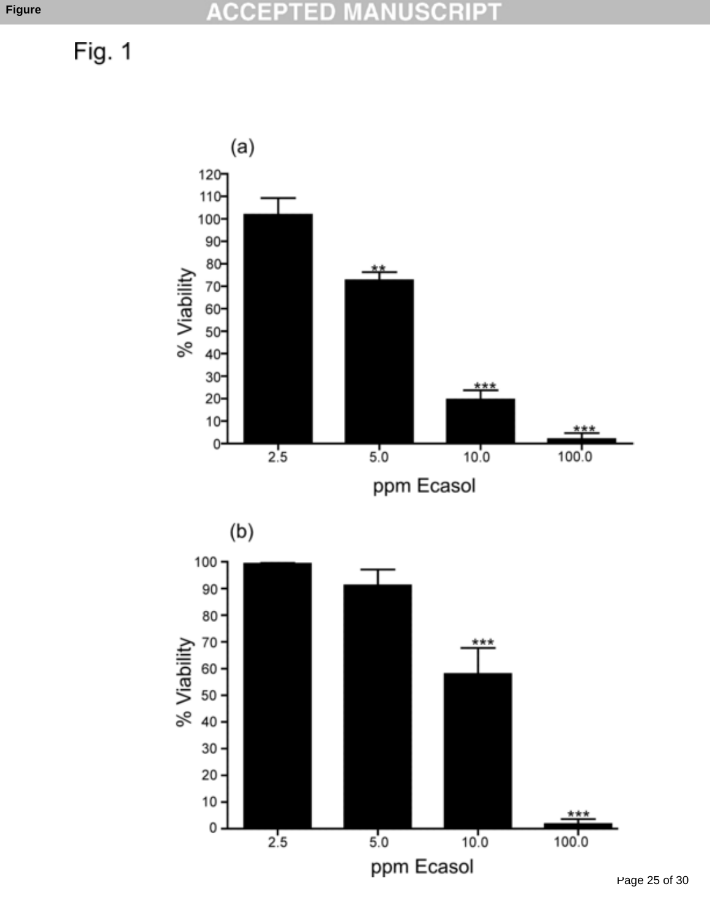Fig. 1

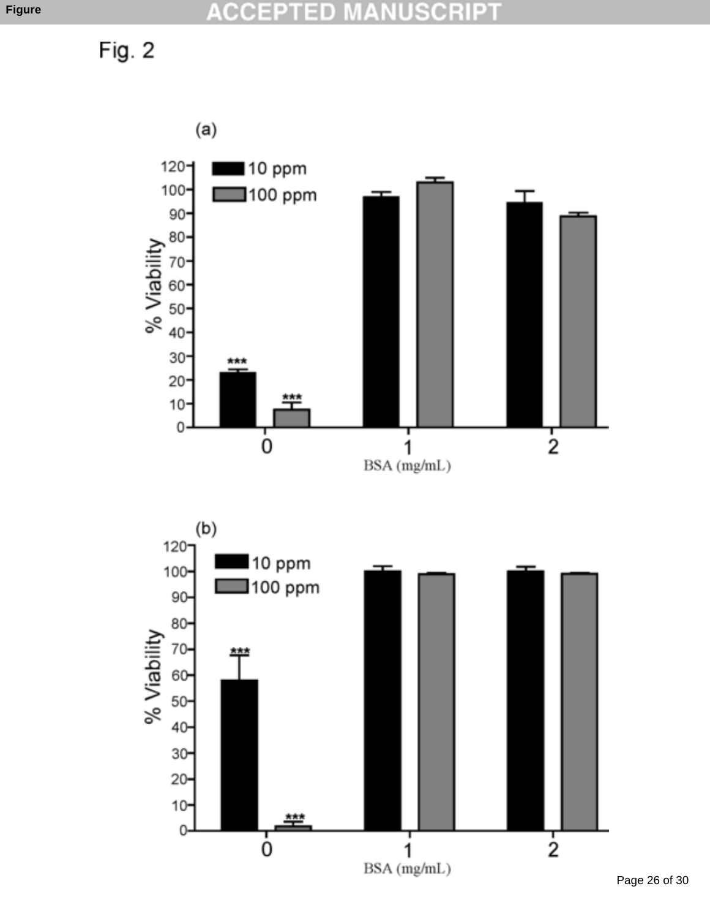Fig. 2

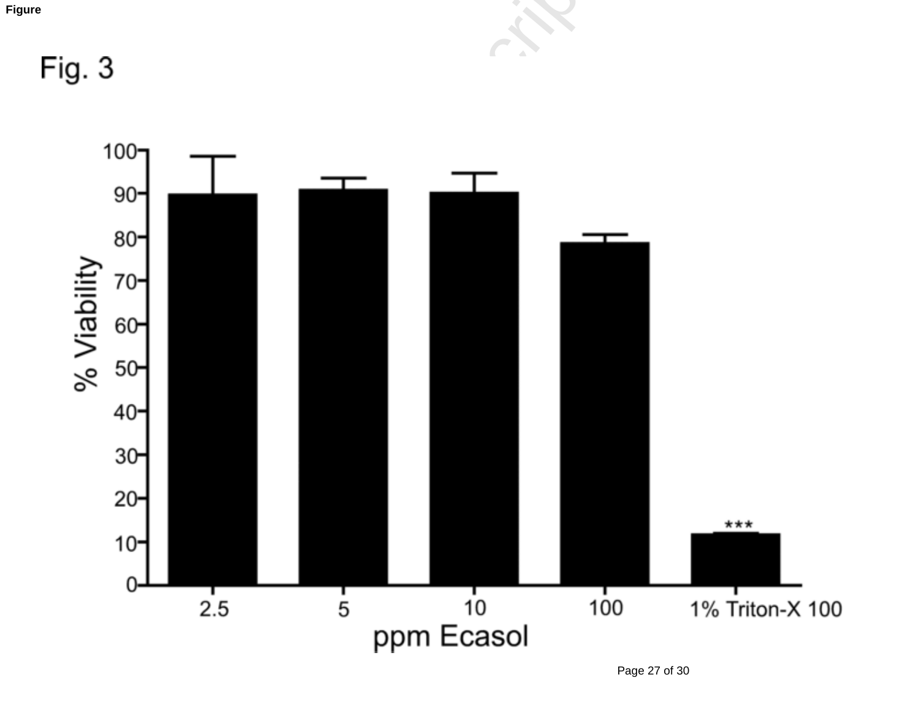

Page 27 of 30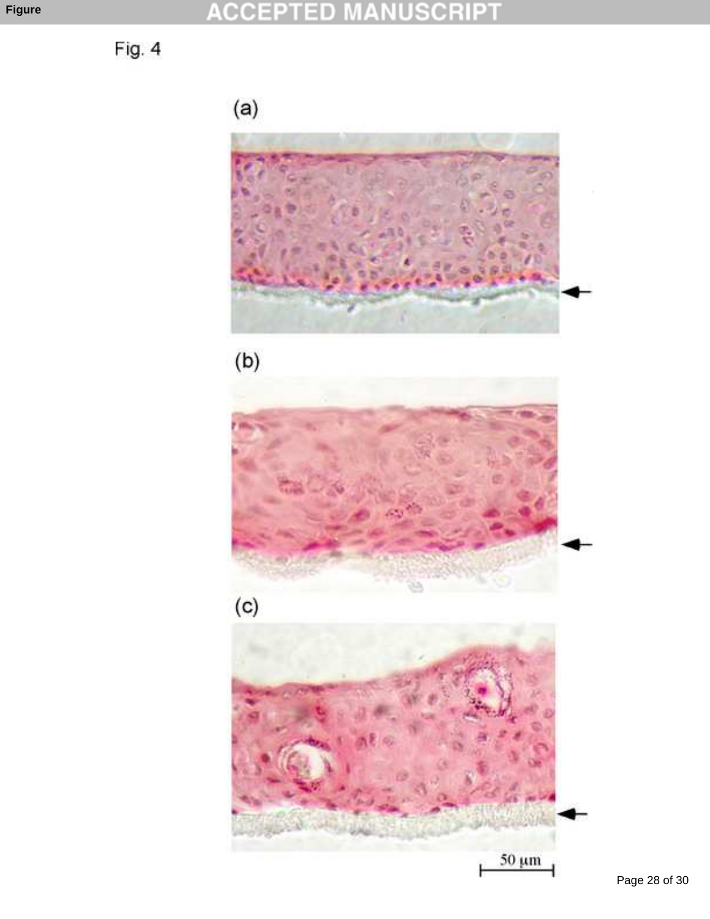Fig. 4

 $(a)$ 







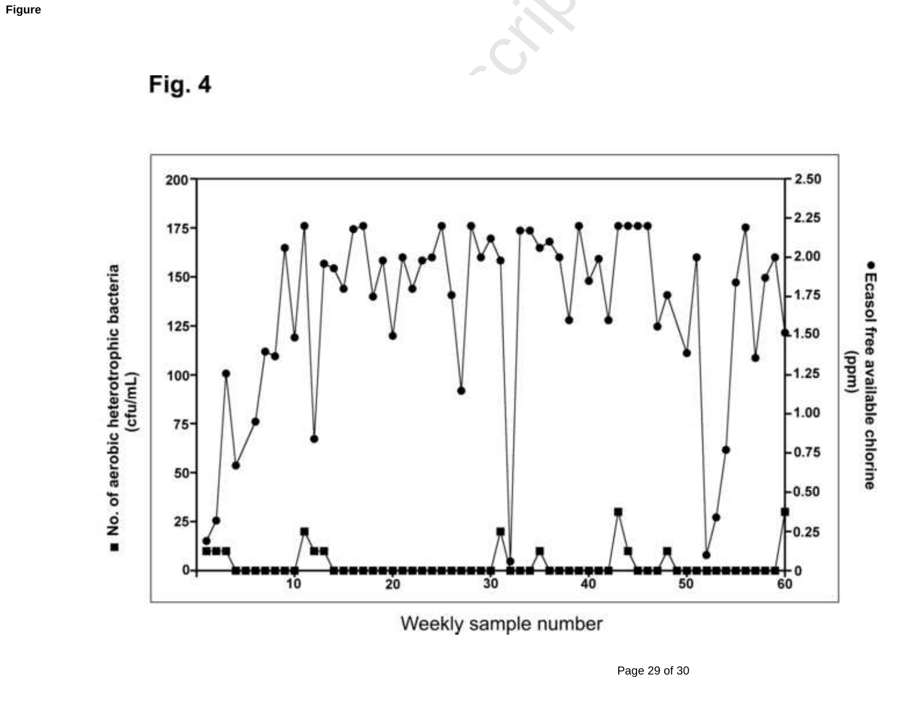

Weekly sample number